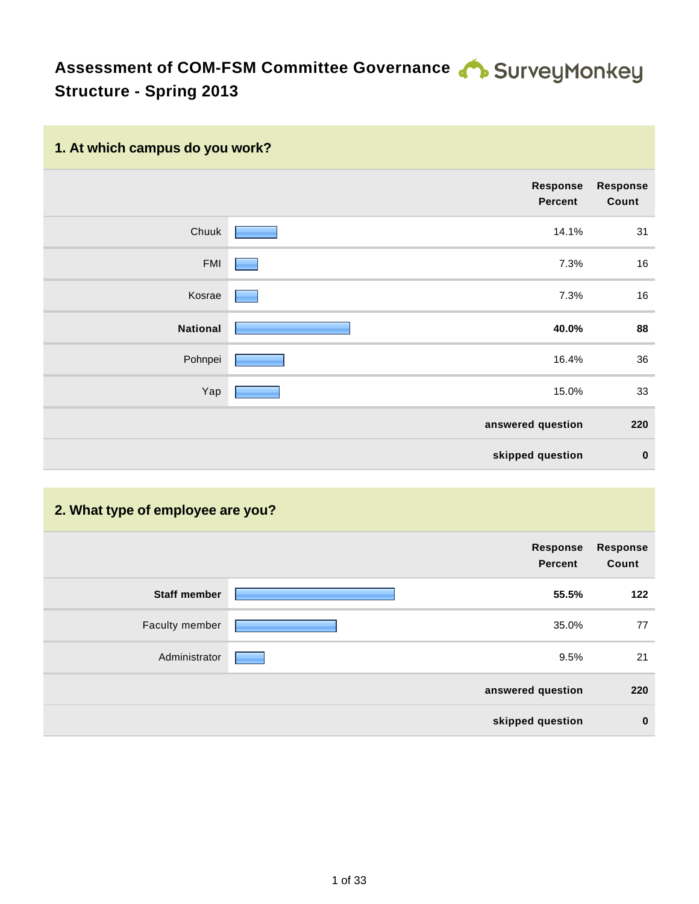# Assessment of COM-FSM Committee Governance **COM-FSM Committee Governance Structure - Spring 2013**

## **1. At which campus do you work?**

|                 | Response<br><b>Percent</b> | <b>Response</b><br>Count |
|-----------------|----------------------------|--------------------------|
| Chuuk           | 14.1%                      | 31                       |
| <b>FMI</b>      | 7.3%                       | 16                       |
| Kosrae          | 7.3%                       | 16                       |
| <b>National</b> | 40.0%                      | 88                       |
| Pohnpei         | 16.4%                      | 36                       |
| Yap             | 15.0%                      | 33                       |
|                 | answered question          | 220                      |
|                 | skipped question           | $\bf{0}$                 |

### **2. What type of employee are you?**

|                     | Response<br><b>Percent</b> | <b>Response</b><br>Count |
|---------------------|----------------------------|--------------------------|
| <b>Staff member</b> | 55.5%                      | 122                      |
| Faculty member      | 35.0%                      | 77                       |
| Administrator       | 9.5%                       | 21                       |
|                     | answered question          | 220                      |
|                     | skipped question           | $\mathbf 0$              |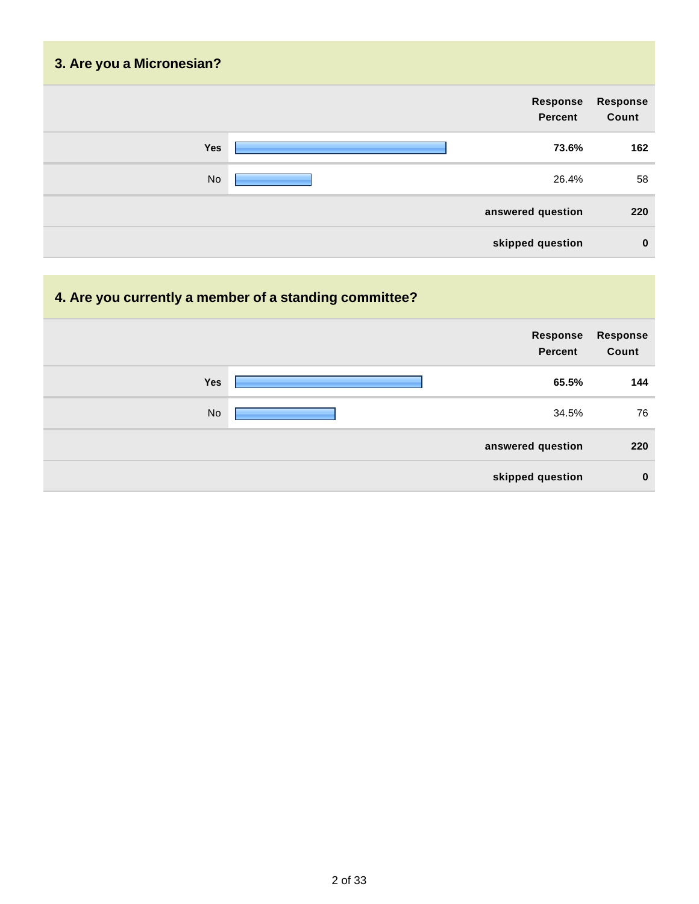| 3. Are you a Micronesian? |                            |                          |
|---------------------------|----------------------------|--------------------------|
|                           | <b>Response</b><br>Percent | <b>Response</b><br>Count |
| Yes                       | 73.6%                      | 162                      |
| <b>No</b>                 | 26.4%                      | 58                       |
|                           | answered question          | 220                      |
|                           | skipped question           | $\mathbf 0$              |

## **4. Are you currently a member of a standing committee?**

|     | Response<br><b>Percent</b> | Response<br>Count |
|-----|----------------------------|-------------------|
| Yes | 65.5%                      | 144               |
| No  | 34.5%                      | 76                |
|     | answered question          | 220               |
|     | skipped question           | $\mathbf 0$       |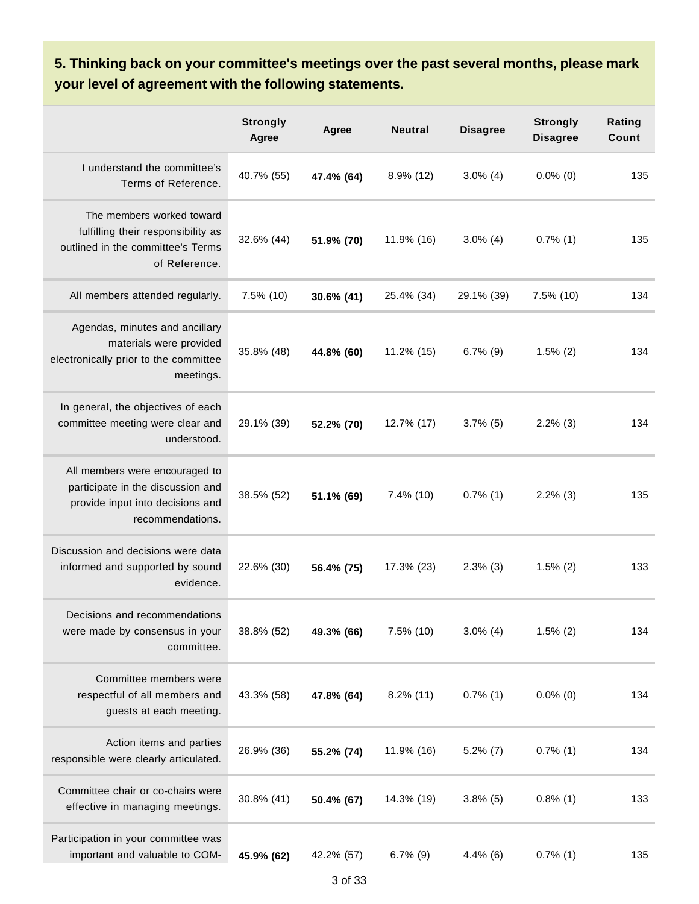**5. Thinking back on your committee's meetings over the past several months, please mark your level of agreement with the following statements.**

|                                                                                                                             | <b>Strongly</b><br>Agree | Agree      | <b>Neutral</b> | <b>Disagree</b> | <b>Strongly</b><br><b>Disagree</b> | Rating<br>Count |
|-----------------------------------------------------------------------------------------------------------------------------|--------------------------|------------|----------------|-----------------|------------------------------------|-----------------|
| I understand the committee's<br>Terms of Reference.                                                                         | 40.7% (55)               | 47.4% (64) | 8.9% (12)      | $3.0\%$ (4)     | $0.0\%$ (0)                        | 135             |
| The members worked toward<br>fulfilling their responsibility as<br>outlined in the committee's Terms<br>of Reference.       | 32.6% (44)               | 51.9% (70) | 11.9% (16)     | $3.0\%$ (4)     | $0.7\%$ (1)                        | 135             |
| All members attended regularly.                                                                                             | 7.5% (10)                | 30.6% (41) | 25.4% (34)     | 29.1% (39)      | 7.5% (10)                          | 134             |
| Agendas, minutes and ancillary<br>materials were provided<br>electronically prior to the committee<br>meetings.             | 35.8% (48)               | 44.8% (60) | 11.2% (15)     | $6.7\%$ (9)     | $1.5\%$ (2)                        | 134             |
| In general, the objectives of each<br>committee meeting were clear and<br>understood.                                       | 29.1% (39)               | 52.2% (70) | 12.7% (17)     | $3.7\%$ (5)     | $2.2\%$ (3)                        | 134             |
| All members were encouraged to<br>participate in the discussion and<br>provide input into decisions and<br>recommendations. | 38.5% (52)               | 51.1% (69) | $7.4\%$ (10)   | $0.7\%$ (1)     | $2.2\%$ (3)                        | 135             |
| Discussion and decisions were data<br>informed and supported by sound<br>evidence.                                          | 22.6% (30)               | 56.4% (75) | 17.3% (23)     | $2.3\%$ (3)     | $1.5\%$ (2)                        | 133             |
| Decisions and recommendations<br>were made by consensus in your<br>committee.                                               | 38.8% (52)               | 49.3% (66) | 7.5% (10)      | $3.0\%$ (4)     | $1.5\%$ (2)                        | 134             |
| Committee members were<br>respectful of all members and<br>guests at each meeting.                                          | 43.3% (58)               | 47.8% (64) | $8.2\%$ (11)   | $0.7\%$ (1)     | $0.0\%$ (0)                        | 134             |
| Action items and parties<br>responsible were clearly articulated.                                                           | 26.9% (36)               | 55.2% (74) | 11.9% (16)     | $5.2\%$ (7)     | $0.7\%$ (1)                        | 134             |
| Committee chair or co-chairs were<br>effective in managing meetings.                                                        | 30.8% (41)               | 50.4% (67) | 14.3% (19)     | $3.8\%$ (5)     | $0.8\%$ (1)                        | 133             |
| Participation in your committee was<br>important and valuable to COM-                                                       | 45.9% (62)               | 42.2% (57) | $6.7\%$ (9)    | $4.4\%$ (6)     | $0.7\%$ (1)                        | 135             |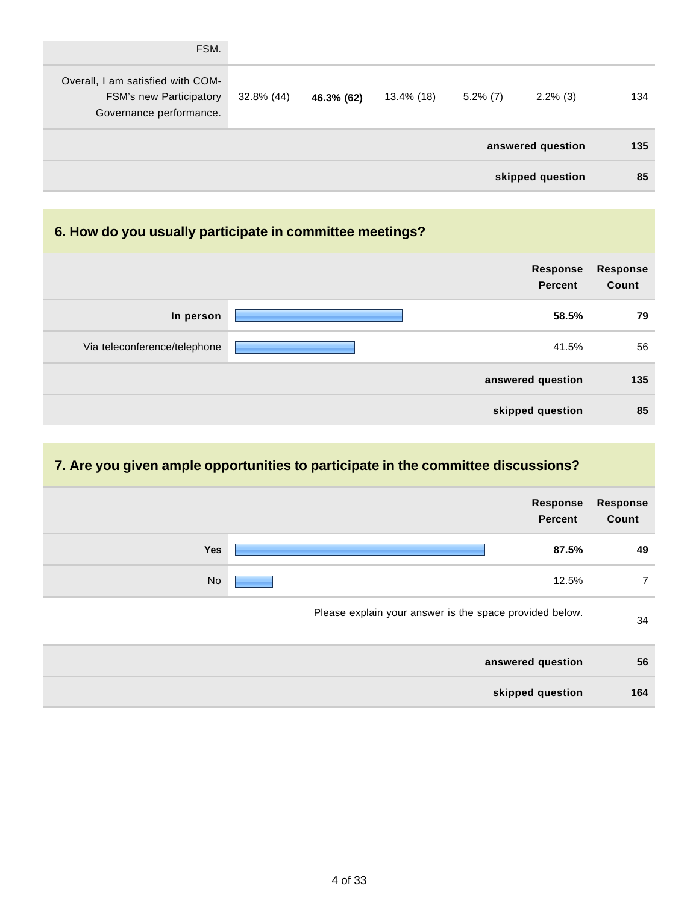| FSM.                                                                                           |            |            |            |             |                   |     |
|------------------------------------------------------------------------------------------------|------------|------------|------------|-------------|-------------------|-----|
| Overall, I am satisfied with COM-<br><b>FSM's new Participatory</b><br>Governance performance. | 32.8% (44) | 46.3% (62) | 13.4% (18) | $5.2\%$ (7) | $2.2\%$ (3)       | 134 |
|                                                                                                |            |            |            |             | answered question | 135 |
|                                                                                                |            |            |            |             | skipped question  | 85  |

## **6. How do you usually participate in committee meetings?**

|                              | <b>Response</b><br><b>Percent</b> | <b>Response</b><br>Count |
|------------------------------|-----------------------------------|--------------------------|
| In person                    | 58.5%                             | 79                       |
| Via teleconference/telephone | 41.5%                             | 56                       |
|                              | answered question                 | 135                      |
|                              | skipped question                  | 85                       |

## **7. Are you given ample opportunities to participate in the committee discussions?**

|           | Response<br><b>Percent</b>                              | <b>Response</b><br>Count |
|-----------|---------------------------------------------------------|--------------------------|
| Yes       | 87.5%                                                   | 49                       |
| <b>No</b> | 12.5%                                                   | $\overline{7}$           |
|           | Please explain your answer is the space provided below. | 34                       |
|           | answered question                                       | 56                       |
|           | skipped question                                        | 164                      |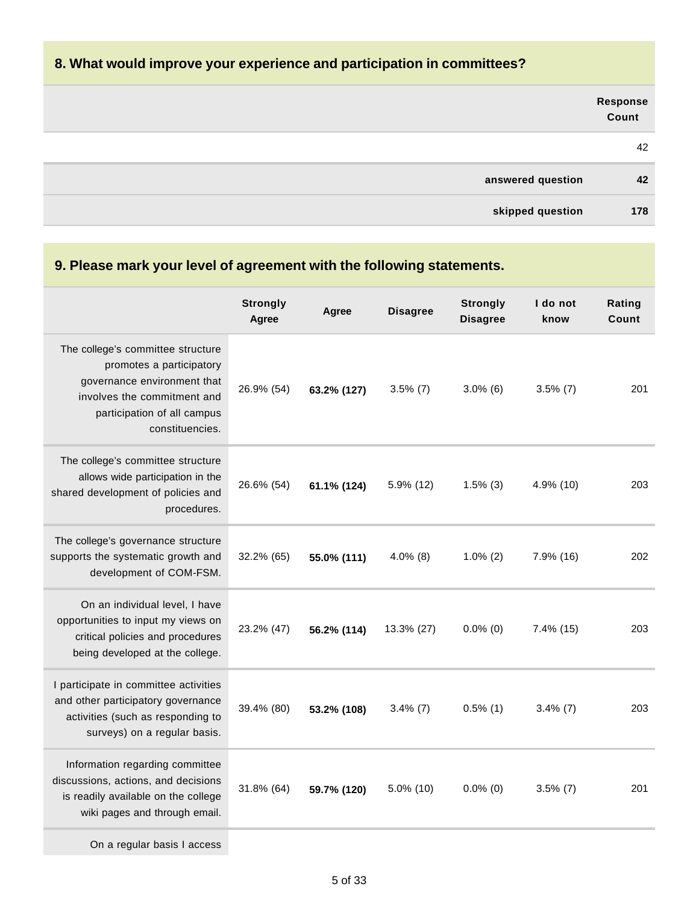### **8. What would improve your experience and participation in committees?**

|                   | Response<br>Count |
|-------------------|-------------------|
|                   | 42                |
| answered question | 42                |
| skipped question  | 178               |

#### **9. Please mark your level of agreement with the following statements. Strongly Agree Agree Disagree Strongly Disagree I do not know Rating Count** The college's committee structure promotes a participatory governance environment that involves the commitment and participation of all campus constituencies. 26.9% (54) **63.2% (127)** 3.5% (7) 3.0% (6) 3.5% (7) 201 The college's committee structure allows wide participation in the shared development of policies and procedures. 26.6% (54) **61.1% (124)** 5.9% (12) 1.5% (3) 4.9% (10) 203 The college's governance structure supports the systematic growth and development of COM-FSM. 32.2% (65) **55.0% (111)** 4.0% (8) 1.0% (2) 7.9% (16) 202 On an individual level, I have opportunities to input my views on critical policies and procedures being developed at the college. 23.2% (47) **56.2% (114)** 13.3% (27) 0.0% (0) 7.4% (15) 203 I participate in committee activities and other participatory governance activities (such as responding to surveys) on a regular basis. 39.4% (80) **53.2% (108)** 3.4% (7) 0.5% (1) 3.4% (7) 203 Information regarding committee discussions, actions, and decisions

On a regular basis I access

is readily available on the college wiki pages and through email. 31.8% (64) **59.7% (120)** 5.0% (10) 0.0% (0) 3.5% (7) 201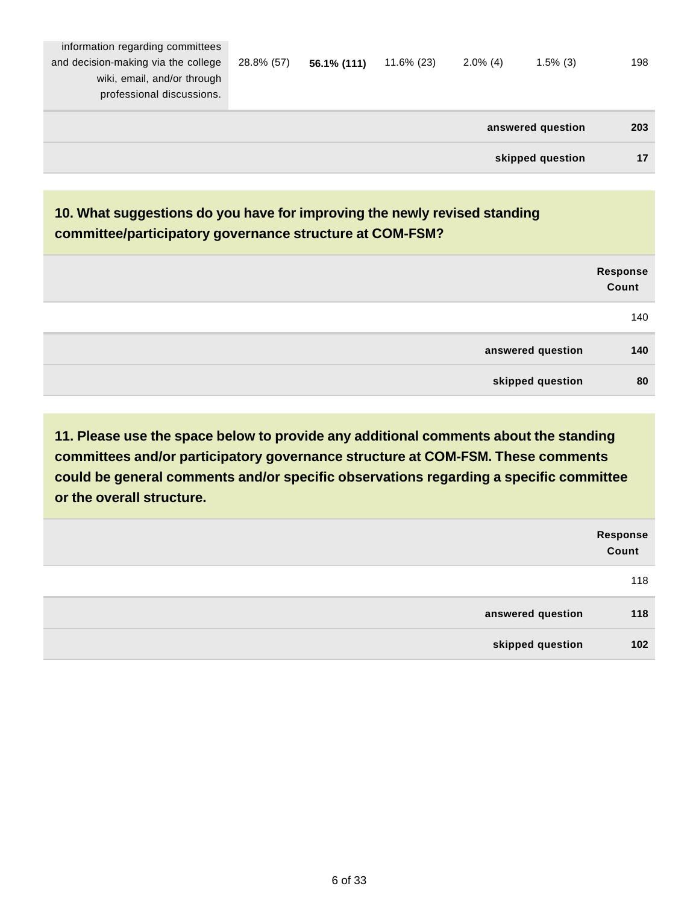|                                                                                                                                     |            |             |               |             | answered question | 203 |
|-------------------------------------------------------------------------------------------------------------------------------------|------------|-------------|---------------|-------------|-------------------|-----|
| information regarding committees<br>and decision-making via the college<br>wiki, email, and/or through<br>professional discussions. | 28.8% (57) | 56.1% (111) | $11.6\%$ (23) | $2.0\%$ (4) | $1.5\%$ (3)       | 198 |

**skipped question 17**

## **10. What suggestions do you have for improving the newly revised standing committee/participatory governance structure at COM-FSM?**

|                   | Response<br>Count |
|-------------------|-------------------|
|                   | 140               |
| answered question | 140               |
| skipped question  | 80                |

|                   | Response<br>Count |
|-------------------|-------------------|
|                   | 118               |
| answered question | 118               |
| skipped question  | 102               |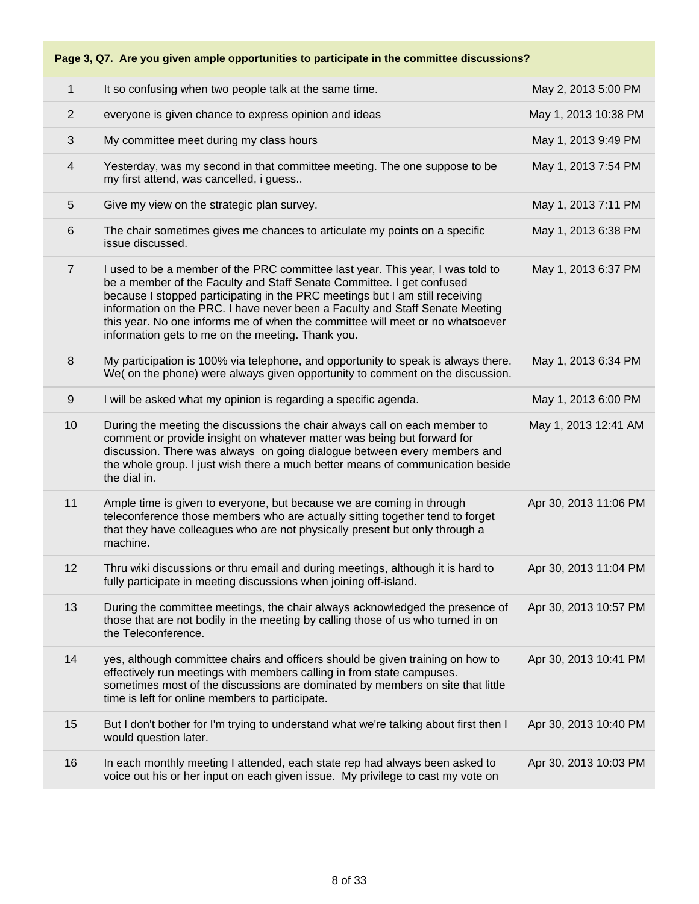### **Page 3, Q7. Are you given ample opportunities to participate in the committee discussions?**

| $\mathbf 1$    | It so confusing when two people talk at the same time.                                                                                                                                                                                                                                                                                                                                                                                                        | May 2, 2013 5:00 PM   |
|----------------|---------------------------------------------------------------------------------------------------------------------------------------------------------------------------------------------------------------------------------------------------------------------------------------------------------------------------------------------------------------------------------------------------------------------------------------------------------------|-----------------------|
| $\overline{2}$ | everyone is given chance to express opinion and ideas                                                                                                                                                                                                                                                                                                                                                                                                         | May 1, 2013 10:38 PM  |
| 3              | My committee meet during my class hours                                                                                                                                                                                                                                                                                                                                                                                                                       | May 1, 2013 9:49 PM   |
| 4              | Yesterday, was my second in that committee meeting. The one suppose to be<br>my first attend, was cancelled, i guess                                                                                                                                                                                                                                                                                                                                          | May 1, 2013 7:54 PM   |
| 5              | Give my view on the strategic plan survey.                                                                                                                                                                                                                                                                                                                                                                                                                    | May 1, 2013 7:11 PM   |
| 6              | The chair sometimes gives me chances to articulate my points on a specific<br>issue discussed.                                                                                                                                                                                                                                                                                                                                                                | May 1, 2013 6:38 PM   |
| $\overline{7}$ | I used to be a member of the PRC committee last year. This year, I was told to<br>be a member of the Faculty and Staff Senate Committee. I get confused<br>because I stopped participating in the PRC meetings but I am still receiving<br>information on the PRC. I have never been a Faculty and Staff Senate Meeting<br>this year. No one informs me of when the committee will meet or no whatsoever<br>information gets to me on the meeting. Thank you. | May 1, 2013 6:37 PM   |
| 8              | My participation is 100% via telephone, and opportunity to speak is always there.<br>We( on the phone) were always given opportunity to comment on the discussion.                                                                                                                                                                                                                                                                                            | May 1, 2013 6:34 PM   |
| 9              | I will be asked what my opinion is regarding a specific agenda.                                                                                                                                                                                                                                                                                                                                                                                               | May 1, 2013 6:00 PM   |
| 10             | During the meeting the discussions the chair always call on each member to<br>comment or provide insight on whatever matter was being but forward for<br>discussion. There was always on going dialogue between every members and<br>the whole group. I just wish there a much better means of communication beside<br>the dial in.                                                                                                                           | May 1, 2013 12:41 AM  |
| 11             | Ample time is given to everyone, but because we are coming in through<br>teleconference those members who are actually sitting together tend to forget<br>that they have colleagues who are not physically present but only through a<br>machine.                                                                                                                                                                                                             | Apr 30, 2013 11:06 PM |
| 12             | Thru wiki discussions or thru email and during meetings, although it is hard to<br>fully participate in meeting discussions when joining off-island.                                                                                                                                                                                                                                                                                                          | Apr 30, 2013 11:04 PM |
| 13             | During the committee meetings, the chair always acknowledged the presence of<br>those that are not bodily in the meeting by calling those of us who turned in on<br>the Teleconference.                                                                                                                                                                                                                                                                       | Apr 30, 2013 10:57 PM |
| 14             | yes, although committee chairs and officers should be given training on how to<br>effectively run meetings with members calling in from state campuses.<br>sometimes most of the discussions are dominated by members on site that little<br>time is left for online members to participate.                                                                                                                                                                  | Apr 30, 2013 10:41 PM |
| 15             | But I don't bother for I'm trying to understand what we're talking about first then I<br>would question later.                                                                                                                                                                                                                                                                                                                                                | Apr 30, 2013 10:40 PM |
| 16             | In each monthly meeting I attended, each state rep had always been asked to<br>voice out his or her input on each given issue. My privilege to cast my vote on                                                                                                                                                                                                                                                                                                | Apr 30, 2013 10:03 PM |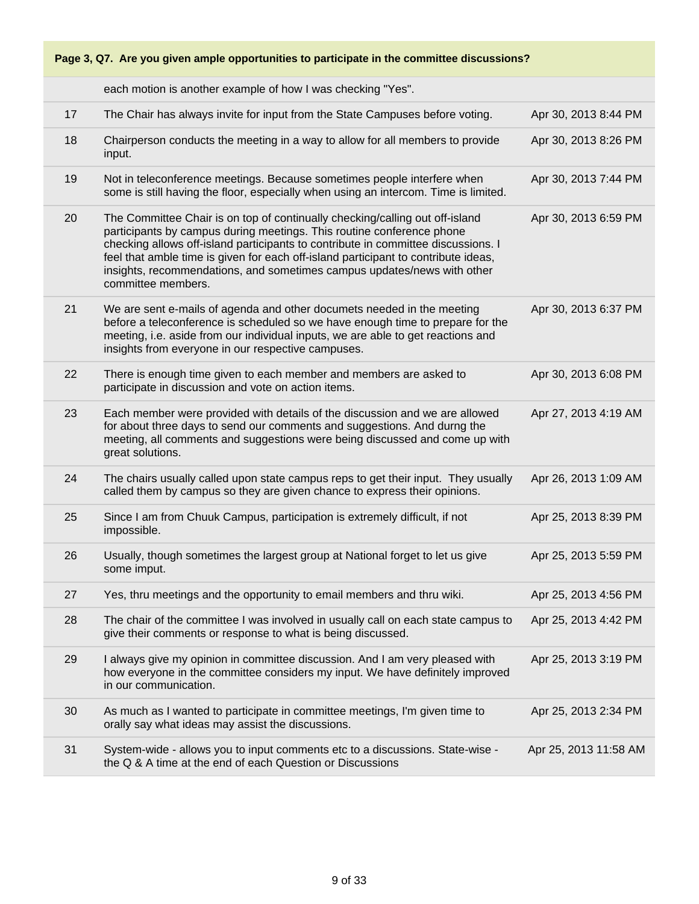

each motion is another example of how I was checking "Yes".

| 17 | The Chair has always invite for input from the State Campuses before voting.                                                                                                                                                                                                                                                                                                                                                      | Apr 30, 2013 8:44 PM  |
|----|-----------------------------------------------------------------------------------------------------------------------------------------------------------------------------------------------------------------------------------------------------------------------------------------------------------------------------------------------------------------------------------------------------------------------------------|-----------------------|
| 18 | Chairperson conducts the meeting in a way to allow for all members to provide<br>input.                                                                                                                                                                                                                                                                                                                                           | Apr 30, 2013 8:26 PM  |
| 19 | Not in teleconference meetings. Because sometimes people interfere when<br>some is still having the floor, especially when using an intercom. Time is limited.                                                                                                                                                                                                                                                                    | Apr 30, 2013 7:44 PM  |
| 20 | The Committee Chair is on top of continually checking/calling out off-island<br>participants by campus during meetings. This routine conference phone<br>checking allows off-island participants to contribute in committee discussions. I<br>feel that amble time is given for each off-island participant to contribute ideas,<br>insights, recommendations, and sometimes campus updates/news with other<br>committee members. | Apr 30, 2013 6:59 PM  |
| 21 | We are sent e-mails of agenda and other documets needed in the meeting<br>before a teleconference is scheduled so we have enough time to prepare for the<br>meeting, i.e. aside from our individual inputs, we are able to get reactions and<br>insights from everyone in our respective campuses.                                                                                                                                | Apr 30, 2013 6:37 PM  |
| 22 | There is enough time given to each member and members are asked to<br>participate in discussion and vote on action items.                                                                                                                                                                                                                                                                                                         | Apr 30, 2013 6:08 PM  |
| 23 | Each member were provided with details of the discussion and we are allowed<br>for about three days to send our comments and suggestions. And durng the<br>meeting, all comments and suggestions were being discussed and come up with<br>great solutions.                                                                                                                                                                        | Apr 27, 2013 4:19 AM  |
| 24 | The chairs usually called upon state campus reps to get their input. They usually<br>called them by campus so they are given chance to express their opinions.                                                                                                                                                                                                                                                                    | Apr 26, 2013 1:09 AM  |
| 25 | Since I am from Chuuk Campus, participation is extremely difficult, if not<br>impossible.                                                                                                                                                                                                                                                                                                                                         | Apr 25, 2013 8:39 PM  |
| 26 | Usually, though sometimes the largest group at National forget to let us give<br>some imput.                                                                                                                                                                                                                                                                                                                                      | Apr 25, 2013 5:59 PM  |
| 27 | Yes, thru meetings and the opportunity to email members and thru wiki.                                                                                                                                                                                                                                                                                                                                                            | Apr 25, 2013 4:56 PM  |
| 28 | The chair of the committee I was involved in usually call on each state campus to<br>give their comments or response to what is being discussed.                                                                                                                                                                                                                                                                                  | Apr 25, 2013 4:42 PM  |
| 29 | I always give my opinion in committee discussion. And I am very pleased with<br>how everyone in the committee considers my input. We have definitely improved<br>in our communication.                                                                                                                                                                                                                                            | Apr 25, 2013 3:19 PM  |
| 30 | As much as I wanted to participate in committee meetings, I'm given time to<br>orally say what ideas may assist the discussions.                                                                                                                                                                                                                                                                                                  | Apr 25, 2013 2:34 PM  |
| 31 | System-wide - allows you to input comments etc to a discussions. State-wise -<br>the Q & A time at the end of each Question or Discussions                                                                                                                                                                                                                                                                                        | Apr 25, 2013 11:58 AM |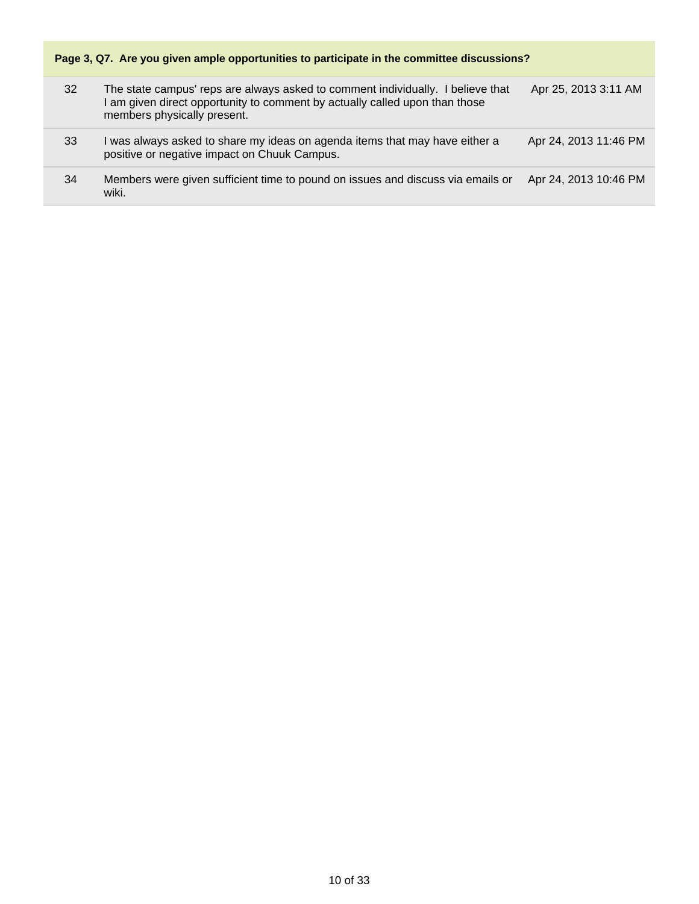

| 32 | The state campus' reps are always asked to comment individually. I believe that<br>I am given direct opportunity to comment by actually called upon than those<br>members physically present. | Apr 25, 2013 3:11 AM  |
|----|-----------------------------------------------------------------------------------------------------------------------------------------------------------------------------------------------|-----------------------|
| 33 | was always asked to share my ideas on agenda items that may have either a<br>positive or negative impact on Chuuk Campus.                                                                     | Apr 24, 2013 11:46 PM |
| 34 | Members were given sufficient time to pound on issues and discuss via emails or<br>wiki.                                                                                                      | Apr 24, 2013 10:46 PM |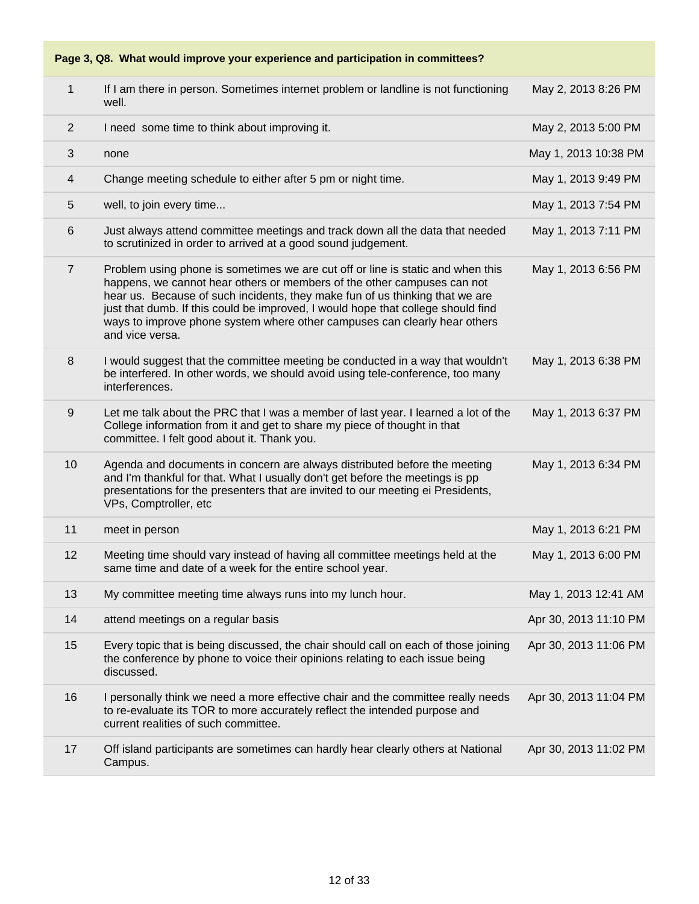**Page 3, Q8. What would improve your experience and participation in committees?**

| 1              | If I am there in person. Sometimes internet problem or landline is not functioning<br>well.                                                                                                                                                                                                                                                                                                                                    | May 2, 2013 8:26 PM   |
|----------------|--------------------------------------------------------------------------------------------------------------------------------------------------------------------------------------------------------------------------------------------------------------------------------------------------------------------------------------------------------------------------------------------------------------------------------|-----------------------|
| 2              | I need some time to think about improving it.                                                                                                                                                                                                                                                                                                                                                                                  | May 2, 2013 5:00 PM   |
| 3              | none                                                                                                                                                                                                                                                                                                                                                                                                                           | May 1, 2013 10:38 PM  |
| 4              | Change meeting schedule to either after 5 pm or night time.                                                                                                                                                                                                                                                                                                                                                                    | May 1, 2013 9:49 PM   |
| 5              | well, to join every time                                                                                                                                                                                                                                                                                                                                                                                                       | May 1, 2013 7:54 PM   |
| 6              | Just always attend committee meetings and track down all the data that needed<br>to scrutinized in order to arrived at a good sound judgement.                                                                                                                                                                                                                                                                                 | May 1, 2013 7:11 PM   |
| $\overline{7}$ | Problem using phone is sometimes we are cut off or line is static and when this<br>happens, we cannot hear others or members of the other campuses can not<br>hear us. Because of such incidents, they make fun of us thinking that we are<br>just that dumb. If this could be improved, I would hope that college should find<br>ways to improve phone system where other campuses can clearly hear others<br>and vice versa. | May 1, 2013 6:56 PM   |
| 8              | I would suggest that the committee meeting be conducted in a way that wouldn't<br>be interfered. In other words, we should avoid using tele-conference, too many<br>interferences.                                                                                                                                                                                                                                             | May 1, 2013 6:38 PM   |
| 9              | Let me talk about the PRC that I was a member of last year. I learned a lot of the<br>College information from it and get to share my piece of thought in that<br>committee. I felt good about it. Thank you.                                                                                                                                                                                                                  | May 1, 2013 6:37 PM   |
| 10             | Agenda and documents in concern are always distributed before the meeting<br>and I'm thankful for that. What I usually don't get before the meetings is pp<br>presentations for the presenters that are invited to our meeting ei Presidents,<br>VPs, Comptroller, etc                                                                                                                                                         | May 1, 2013 6:34 PM   |
| 11             | meet in person                                                                                                                                                                                                                                                                                                                                                                                                                 | May 1, 2013 6:21 PM   |
| 12             | Meeting time should vary instead of having all committee meetings held at the<br>same time and date of a week for the entire school year.                                                                                                                                                                                                                                                                                      | May 1, 2013 6:00 PM   |
| 13             | My committee meeting time always runs into my lunch hour.                                                                                                                                                                                                                                                                                                                                                                      | May 1, 2013 12:41 AM  |
| 14             | attend meetings on a regular basis                                                                                                                                                                                                                                                                                                                                                                                             | Apr 30, 2013 11:10 PM |
| 15             | Every topic that is being discussed, the chair should call on each of those joining<br>the conference by phone to voice their opinions relating to each issue being<br>discussed.                                                                                                                                                                                                                                              | Apr 30, 2013 11:06 PM |
| 16             | I personally think we need a more effective chair and the committee really needs<br>to re-evaluate its TOR to more accurately reflect the intended purpose and<br>current realities of such committee.                                                                                                                                                                                                                         | Apr 30, 2013 11:04 PM |
| 17             | Off island participants are sometimes can hardly hear clearly others at National<br>Campus.                                                                                                                                                                                                                                                                                                                                    | Apr 30, 2013 11:02 PM |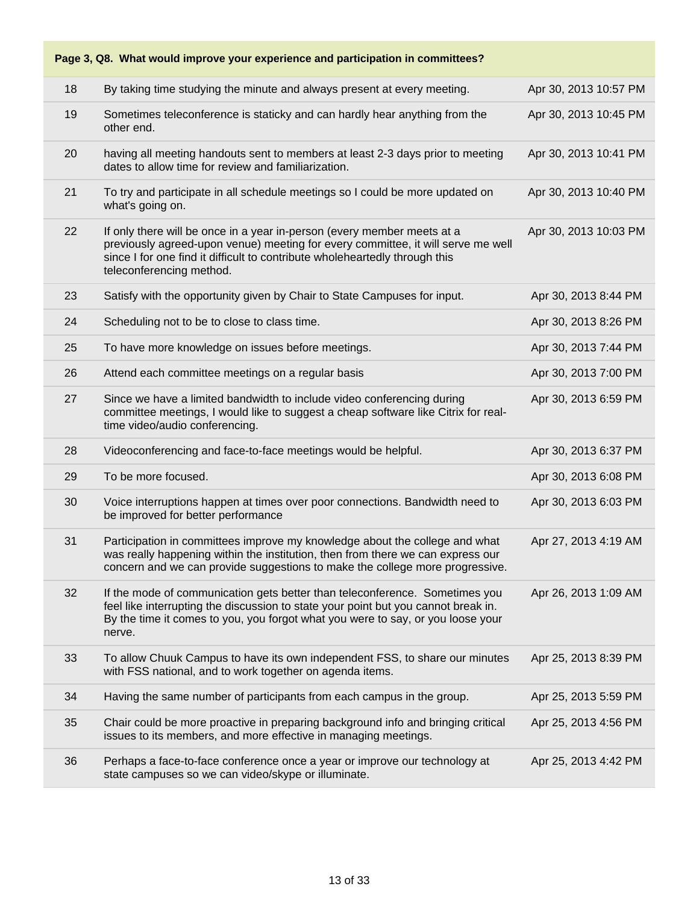| Page 3, Q8. What would improve your experience and participation in committees? |                                                                                                                                                                                                                                                                        |                       |  |
|---------------------------------------------------------------------------------|------------------------------------------------------------------------------------------------------------------------------------------------------------------------------------------------------------------------------------------------------------------------|-----------------------|--|
| 18                                                                              | By taking time studying the minute and always present at every meeting.                                                                                                                                                                                                | Apr 30, 2013 10:57 PM |  |
| 19                                                                              | Sometimes teleconference is staticky and can hardly hear anything from the<br>other end.                                                                                                                                                                               | Apr 30, 2013 10:45 PM |  |
| 20                                                                              | having all meeting handouts sent to members at least 2-3 days prior to meeting<br>dates to allow time for review and familiarization.                                                                                                                                  | Apr 30, 2013 10:41 PM |  |
| 21                                                                              | To try and participate in all schedule meetings so I could be more updated on<br>what's going on.                                                                                                                                                                      | Apr 30, 2013 10:40 PM |  |
| 22                                                                              | If only there will be once in a year in-person (every member meets at a<br>previously agreed-upon venue) meeting for every committee, it will serve me well<br>since I for one find it difficult to contribute wholeheartedly through this<br>teleconferencing method. | Apr 30, 2013 10:03 PM |  |
| 23                                                                              | Satisfy with the opportunity given by Chair to State Campuses for input.                                                                                                                                                                                               | Apr 30, 2013 8:44 PM  |  |
| 24                                                                              | Scheduling not to be to close to class time.                                                                                                                                                                                                                           | Apr 30, 2013 8:26 PM  |  |
| 25                                                                              | To have more knowledge on issues before meetings.                                                                                                                                                                                                                      | Apr 30, 2013 7:44 PM  |  |
| 26                                                                              | Attend each committee meetings on a regular basis                                                                                                                                                                                                                      | Apr 30, 2013 7:00 PM  |  |
| 27                                                                              | Since we have a limited bandwidth to include video conferencing during<br>committee meetings, I would like to suggest a cheap software like Citrix for real-<br>time video/audio conferencing.                                                                         | Apr 30, 2013 6:59 PM  |  |
| 28                                                                              | Videoconferencing and face-to-face meetings would be helpful.                                                                                                                                                                                                          | Apr 30, 2013 6:37 PM  |  |
| 29                                                                              | To be more focused.                                                                                                                                                                                                                                                    | Apr 30, 2013 6:08 PM  |  |
| 30                                                                              | Voice interruptions happen at times over poor connections. Bandwidth need to<br>be improved for better performance                                                                                                                                                     | Apr 30, 2013 6:03 PM  |  |
| 31                                                                              | Participation in committees improve my knowledge about the college and what<br>was really happening within the institution, then from there we can express our<br>concern and we can provide suggestions to make the college more progressive.                         | Apr 27, 2013 4:19 AM  |  |
| 32                                                                              | If the mode of communication gets better than teleconference. Sometimes you<br>feel like interrupting the discussion to state your point but you cannot break in.<br>By the time it comes to you, you forgot what you were to say, or you loose your<br>nerve.         | Apr 26, 2013 1:09 AM  |  |
| 33                                                                              | To allow Chuuk Campus to have its own independent FSS, to share our minutes<br>with FSS national, and to work together on agenda items.                                                                                                                                | Apr 25, 2013 8:39 PM  |  |
| 34                                                                              | Having the same number of participants from each campus in the group.                                                                                                                                                                                                  | Apr 25, 2013 5:59 PM  |  |
| 35                                                                              | Chair could be more proactive in preparing background info and bringing critical<br>issues to its members, and more effective in managing meetings.                                                                                                                    | Apr 25, 2013 4:56 PM  |  |
| 36                                                                              | Perhaps a face-to-face conference once a year or improve our technology at<br>state campuses so we can video/skype or illuminate.                                                                                                                                      | Apr 25, 2013 4:42 PM  |  |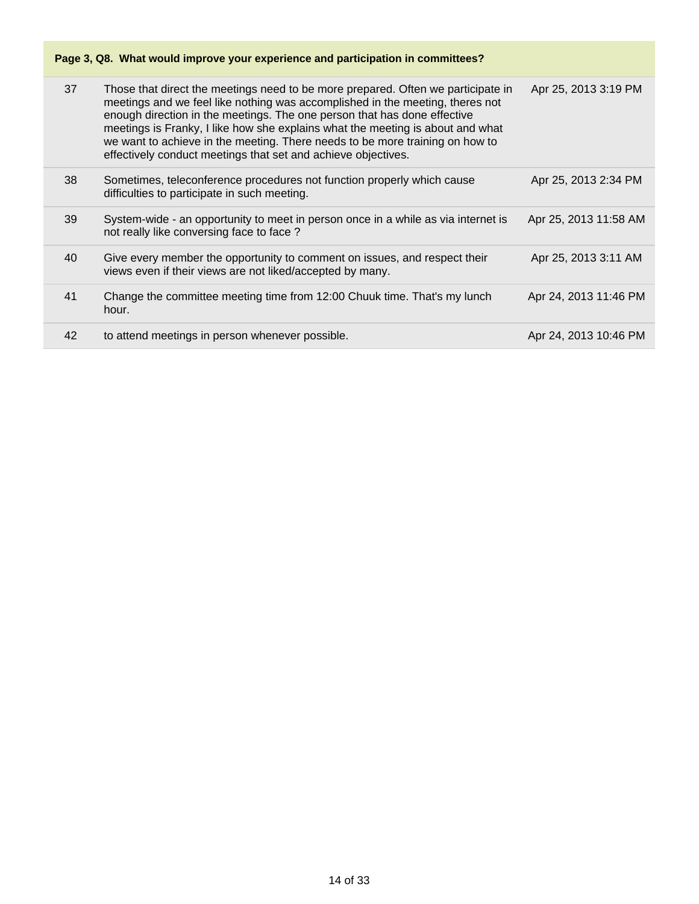### **Page 3, Q8. What would improve your experience and participation in committees?**

| 37 | Those that direct the meetings need to be more prepared. Often we participate in<br>meetings and we feel like nothing was accomplished in the meeting, theres not<br>enough direction in the meetings. The one person that has done effective<br>meetings is Franky, I like how she explains what the meeting is about and what<br>we want to achieve in the meeting. There needs to be more training on how to<br>effectively conduct meetings that set and achieve objectives. | Apr 25, 2013 3:19 PM  |
|----|----------------------------------------------------------------------------------------------------------------------------------------------------------------------------------------------------------------------------------------------------------------------------------------------------------------------------------------------------------------------------------------------------------------------------------------------------------------------------------|-----------------------|
| 38 | Sometimes, teleconference procedures not function properly which cause<br>difficulties to participate in such meeting.                                                                                                                                                                                                                                                                                                                                                           | Apr 25, 2013 2:34 PM  |
| 39 | System-wide - an opportunity to meet in person once in a while as via internet is<br>not really like conversing face to face?                                                                                                                                                                                                                                                                                                                                                    | Apr 25, 2013 11:58 AM |
| 40 | Give every member the opportunity to comment on issues, and respect their<br>views even if their views are not liked/accepted by many.                                                                                                                                                                                                                                                                                                                                           | Apr 25, 2013 3:11 AM  |
| 41 | Change the committee meeting time from 12:00 Chuuk time. That's my lunch<br>hour.                                                                                                                                                                                                                                                                                                                                                                                                | Apr 24, 2013 11:46 PM |
| 42 | to attend meetings in person whenever possible.                                                                                                                                                                                                                                                                                                                                                                                                                                  | Apr 24, 2013 10:46 PM |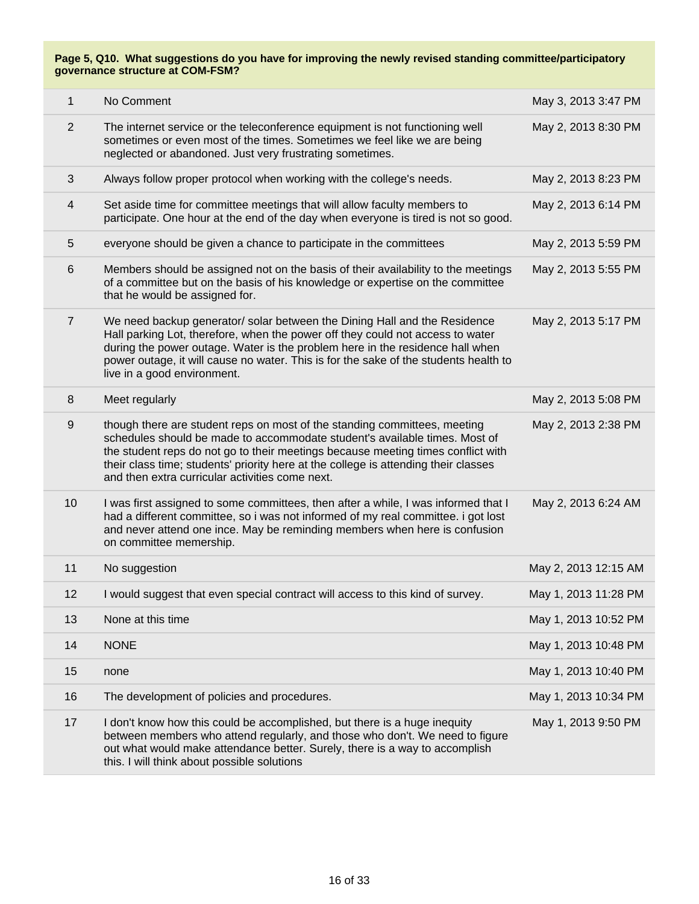| 1              | No Comment                                                                                                                                                                                                                                                                                                                                                                            | May 3, 2013 3:47 PM  |
|----------------|---------------------------------------------------------------------------------------------------------------------------------------------------------------------------------------------------------------------------------------------------------------------------------------------------------------------------------------------------------------------------------------|----------------------|
| 2              | The internet service or the teleconference equipment is not functioning well<br>sometimes or even most of the times. Sometimes we feel like we are being<br>neglected or abandoned. Just very frustrating sometimes.                                                                                                                                                                  | May 2, 2013 8:30 PM  |
| 3              | Always follow proper protocol when working with the college's needs.                                                                                                                                                                                                                                                                                                                  | May 2, 2013 8:23 PM  |
| 4              | Set aside time for committee meetings that will allow faculty members to<br>participate. One hour at the end of the day when everyone is tired is not so good.                                                                                                                                                                                                                        | May 2, 2013 6:14 PM  |
| 5              | everyone should be given a chance to participate in the committees                                                                                                                                                                                                                                                                                                                    | May 2, 2013 5:59 PM  |
| 6              | Members should be assigned not on the basis of their availability to the meetings<br>of a committee but on the basis of his knowledge or expertise on the committee<br>that he would be assigned for.                                                                                                                                                                                 | May 2, 2013 5:55 PM  |
| $\overline{7}$ | We need backup generator/ solar between the Dining Hall and the Residence<br>Hall parking Lot, therefore, when the power off they could not access to water<br>during the power outage. Water is the problem here in the residence hall when<br>power outage, it will cause no water. This is for the sake of the students health to<br>live in a good environment.                   | May 2, 2013 5:17 PM  |
| 8              | Meet regularly                                                                                                                                                                                                                                                                                                                                                                        | May 2, 2013 5:08 PM  |
| $9\,$          | though there are student reps on most of the standing committees, meeting<br>schedules should be made to accommodate student's available times. Most of<br>the student reps do not go to their meetings because meeting times conflict with<br>their class time; students' priority here at the college is attending their classes<br>and then extra curricular activities come next. | May 2, 2013 2:38 PM  |
| 10             | I was first assigned to some committees, then after a while, I was informed that I<br>had a different committee, so i was not informed of my real committee. i got lost<br>and never attend one ince. May be reminding members when here is confusion<br>on committee memership.                                                                                                      | May 2, 2013 6:24 AM  |
| 11             | No suggestion                                                                                                                                                                                                                                                                                                                                                                         | May 2, 2013 12:15 AM |
| 12             | I would suggest that even special contract will access to this kind of survey.                                                                                                                                                                                                                                                                                                        | May 1, 2013 11:28 PM |
| 13             | None at this time                                                                                                                                                                                                                                                                                                                                                                     | May 1, 2013 10:52 PM |
| 14             | <b>NONE</b>                                                                                                                                                                                                                                                                                                                                                                           | May 1, 2013 10:48 PM |
| 15             | none                                                                                                                                                                                                                                                                                                                                                                                  | May 1, 2013 10:40 PM |
| 16             | The development of policies and procedures.                                                                                                                                                                                                                                                                                                                                           | May 1, 2013 10:34 PM |
| 17             | I don't know how this could be accomplished, but there is a huge inequity<br>between members who attend regularly, and those who don't. We need to figure<br>out what would make attendance better. Surely, there is a way to accomplish<br>this. I will think about possible solutions                                                                                               | May 1, 2013 9:50 PM  |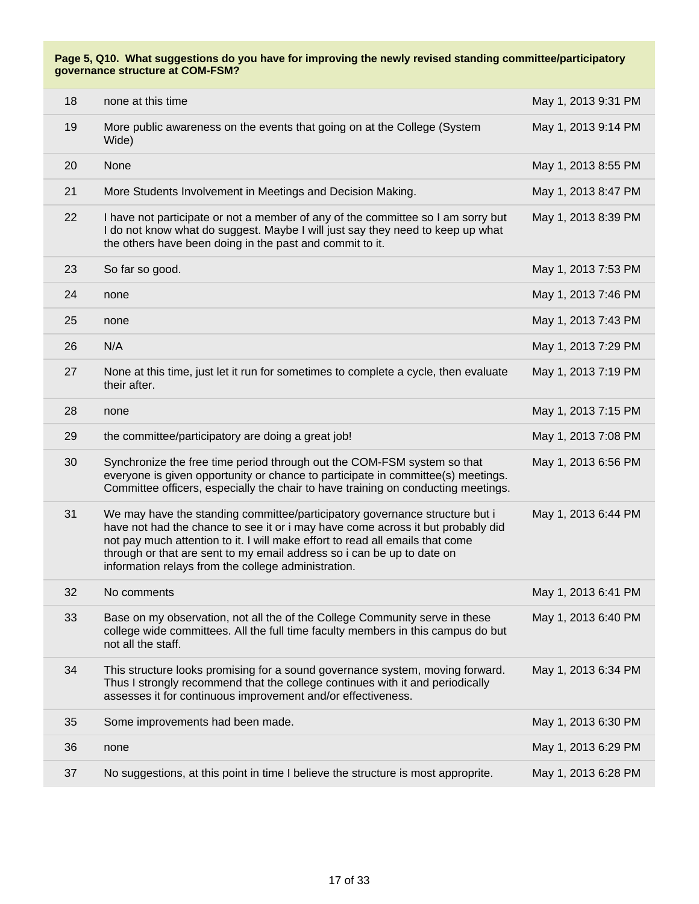| 18 | none at this time                                                                                                                                                                                                                                                                                                                                                                | May 1, 2013 9:31 PM |
|----|----------------------------------------------------------------------------------------------------------------------------------------------------------------------------------------------------------------------------------------------------------------------------------------------------------------------------------------------------------------------------------|---------------------|
| 19 | More public awareness on the events that going on at the College (System<br>Wide)                                                                                                                                                                                                                                                                                                | May 1, 2013 9:14 PM |
| 20 | None                                                                                                                                                                                                                                                                                                                                                                             | May 1, 2013 8:55 PM |
| 21 | More Students Involvement in Meetings and Decision Making.                                                                                                                                                                                                                                                                                                                       | May 1, 2013 8:47 PM |
| 22 | I have not participate or not a member of any of the committee so I am sorry but<br>I do not know what do suggest. Maybe I will just say they need to keep up what<br>the others have been doing in the past and commit to it.                                                                                                                                                   | May 1, 2013 8:39 PM |
| 23 | So far so good.                                                                                                                                                                                                                                                                                                                                                                  | May 1, 2013 7:53 PM |
| 24 | none                                                                                                                                                                                                                                                                                                                                                                             | May 1, 2013 7:46 PM |
| 25 | none                                                                                                                                                                                                                                                                                                                                                                             | May 1, 2013 7:43 PM |
| 26 | N/A                                                                                                                                                                                                                                                                                                                                                                              | May 1, 2013 7:29 PM |
| 27 | None at this time, just let it run for sometimes to complete a cycle, then evaluate<br>their after.                                                                                                                                                                                                                                                                              | May 1, 2013 7:19 PM |
| 28 | none                                                                                                                                                                                                                                                                                                                                                                             | May 1, 2013 7:15 PM |
| 29 | the committee/participatory are doing a great job!                                                                                                                                                                                                                                                                                                                               | May 1, 2013 7:08 PM |
| 30 | Synchronize the free time period through out the COM-FSM system so that<br>everyone is given opportunity or chance to participate in committee(s) meetings.<br>Committee officers, especially the chair to have training on conducting meetings.                                                                                                                                 | May 1, 2013 6:56 PM |
| 31 | We may have the standing committee/participatory governance structure but i<br>have not had the chance to see it or i may have come across it but probably did<br>not pay much attention to it. I will make effort to read all emails that come<br>through or that are sent to my email address so i can be up to date on<br>information relays from the college administration. | May 1, 2013 6:44 PM |
| 32 | No comments                                                                                                                                                                                                                                                                                                                                                                      | May 1, 2013 6:41 PM |
| 33 | Base on my observation, not all the of the College Community serve in these<br>college wide committees. All the full time faculty members in this campus do but<br>not all the staff.                                                                                                                                                                                            | May 1, 2013 6:40 PM |
| 34 | This structure looks promising for a sound governance system, moving forward.<br>Thus I strongly recommend that the college continues with it and periodically<br>assesses it for continuous improvement and/or effectiveness.                                                                                                                                                   | May 1, 2013 6:34 PM |
| 35 | Some improvements had been made.                                                                                                                                                                                                                                                                                                                                                 | May 1, 2013 6:30 PM |
| 36 | none                                                                                                                                                                                                                                                                                                                                                                             | May 1, 2013 6:29 PM |
| 37 | No suggestions, at this point in time I believe the structure is most approprite.                                                                                                                                                                                                                                                                                                | May 1, 2013 6:28 PM |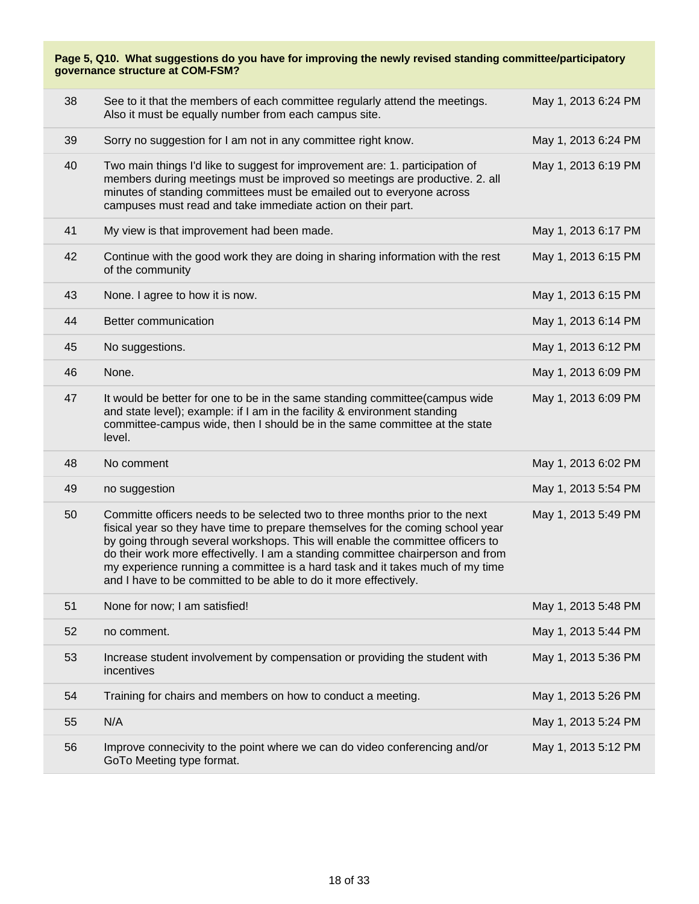| Page 5, Q10. What suggestions do you have for improving the newly revised standing committee/participatory<br>governance structure at COM-FSM? |                                                                                                                                                                                                                                                                                                                                                                                                                                                                                           |                     |  |
|------------------------------------------------------------------------------------------------------------------------------------------------|-------------------------------------------------------------------------------------------------------------------------------------------------------------------------------------------------------------------------------------------------------------------------------------------------------------------------------------------------------------------------------------------------------------------------------------------------------------------------------------------|---------------------|--|
| 38                                                                                                                                             | See to it that the members of each committee regularly attend the meetings.<br>Also it must be equally number from each campus site.                                                                                                                                                                                                                                                                                                                                                      | May 1, 2013 6:24 PM |  |
| 39                                                                                                                                             | Sorry no suggestion for I am not in any committee right know.                                                                                                                                                                                                                                                                                                                                                                                                                             | May 1, 2013 6:24 PM |  |
| 40                                                                                                                                             | Two main things I'd like to suggest for improvement are: 1. participation of<br>members during meetings must be improved so meetings are productive. 2. all<br>minutes of standing committees must be emailed out to everyone across<br>campuses must read and take immediate action on their part.                                                                                                                                                                                       | May 1, 2013 6:19 PM |  |
| 41                                                                                                                                             | My view is that improvement had been made.                                                                                                                                                                                                                                                                                                                                                                                                                                                | May 1, 2013 6:17 PM |  |
| 42                                                                                                                                             | Continue with the good work they are doing in sharing information with the rest<br>of the community                                                                                                                                                                                                                                                                                                                                                                                       | May 1, 2013 6:15 PM |  |
| 43                                                                                                                                             | None. I agree to how it is now.                                                                                                                                                                                                                                                                                                                                                                                                                                                           | May 1, 2013 6:15 PM |  |
| 44                                                                                                                                             | Better communication                                                                                                                                                                                                                                                                                                                                                                                                                                                                      | May 1, 2013 6:14 PM |  |
| 45                                                                                                                                             | No suggestions.                                                                                                                                                                                                                                                                                                                                                                                                                                                                           | May 1, 2013 6:12 PM |  |
| 46                                                                                                                                             | None.                                                                                                                                                                                                                                                                                                                                                                                                                                                                                     | May 1, 2013 6:09 PM |  |
| 47                                                                                                                                             | It would be better for one to be in the same standing committee (campus wide<br>and state level); example: if I am in the facility & environment standing<br>committee-campus wide, then I should be in the same committee at the state<br>level.                                                                                                                                                                                                                                         | May 1, 2013 6:09 PM |  |
| 48                                                                                                                                             | No comment                                                                                                                                                                                                                                                                                                                                                                                                                                                                                | May 1, 2013 6:02 PM |  |
| 49                                                                                                                                             | no suggestion                                                                                                                                                                                                                                                                                                                                                                                                                                                                             | May 1, 2013 5:54 PM |  |
| 50                                                                                                                                             | Committe officers needs to be selected two to three months prior to the next<br>fisical year so they have time to prepare themselves for the coming school year<br>by going through several workshops. This will enable the committee officers to<br>do their work more effectivelly. I am a standing committee chairperson and from<br>my experience running a committee is a hard task and it takes much of my time<br>and I have to be committed to be able to do it more effectively. | May 1, 2013 5:49 PM |  |
| 51                                                                                                                                             | None for now; I am satisfied!                                                                                                                                                                                                                                                                                                                                                                                                                                                             | May 1, 2013 5:48 PM |  |
| 52                                                                                                                                             | no comment.                                                                                                                                                                                                                                                                                                                                                                                                                                                                               | May 1, 2013 5:44 PM |  |
| 53                                                                                                                                             | Increase student involvement by compensation or providing the student with<br>incentives                                                                                                                                                                                                                                                                                                                                                                                                  | May 1, 2013 5:36 PM |  |
| 54                                                                                                                                             | Training for chairs and members on how to conduct a meeting.                                                                                                                                                                                                                                                                                                                                                                                                                              | May 1, 2013 5:26 PM |  |
| 55                                                                                                                                             | N/A                                                                                                                                                                                                                                                                                                                                                                                                                                                                                       | May 1, 2013 5:24 PM |  |
| 56                                                                                                                                             | Improve connecivity to the point where we can do video conferencing and/or<br>GoTo Meeting type format.                                                                                                                                                                                                                                                                                                                                                                                   | May 1, 2013 5:12 PM |  |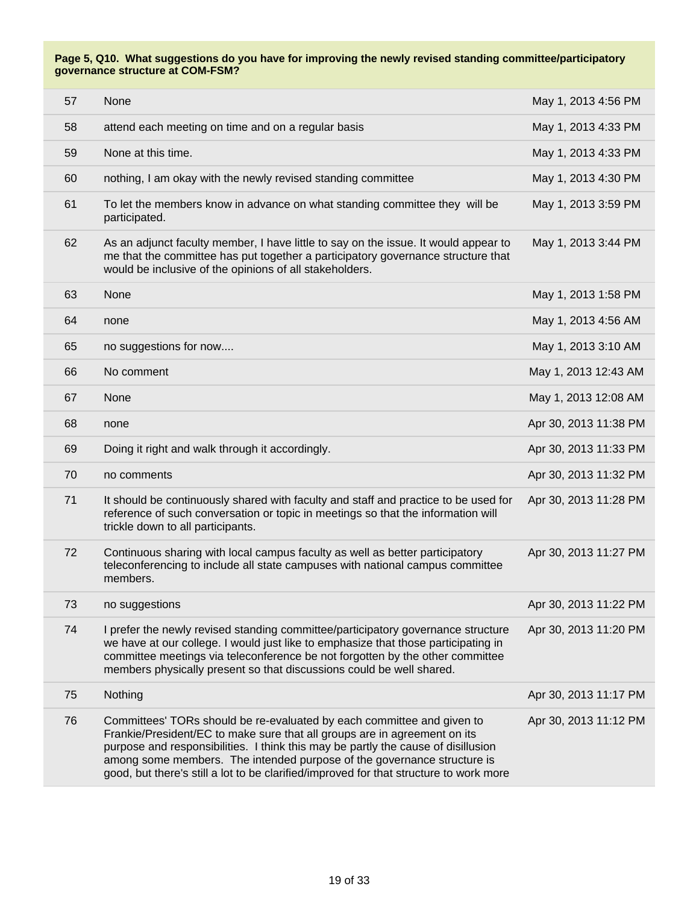| 57 | None                                                                                                                                                                                                                                                                                                                                                                                                          | May 1, 2013 4:56 PM   |
|----|---------------------------------------------------------------------------------------------------------------------------------------------------------------------------------------------------------------------------------------------------------------------------------------------------------------------------------------------------------------------------------------------------------------|-----------------------|
| 58 | attend each meeting on time and on a regular basis                                                                                                                                                                                                                                                                                                                                                            | May 1, 2013 4:33 PM   |
| 59 | None at this time.                                                                                                                                                                                                                                                                                                                                                                                            | May 1, 2013 4:33 PM   |
| 60 | nothing, I am okay with the newly revised standing committee                                                                                                                                                                                                                                                                                                                                                  | May 1, 2013 4:30 PM   |
| 61 | To let the members know in advance on what standing committee they will be<br>participated.                                                                                                                                                                                                                                                                                                                   | May 1, 2013 3:59 PM   |
| 62 | As an adjunct faculty member, I have little to say on the issue. It would appear to<br>me that the committee has put together a participatory governance structure that<br>would be inclusive of the opinions of all stakeholders.                                                                                                                                                                            | May 1, 2013 3:44 PM   |
| 63 | None                                                                                                                                                                                                                                                                                                                                                                                                          | May 1, 2013 1:58 PM   |
| 64 | none                                                                                                                                                                                                                                                                                                                                                                                                          | May 1, 2013 4:56 AM   |
| 65 | no suggestions for now                                                                                                                                                                                                                                                                                                                                                                                        | May 1, 2013 3:10 AM   |
| 66 | No comment                                                                                                                                                                                                                                                                                                                                                                                                    | May 1, 2013 12:43 AM  |
| 67 | None                                                                                                                                                                                                                                                                                                                                                                                                          | May 1, 2013 12:08 AM  |
| 68 | none                                                                                                                                                                                                                                                                                                                                                                                                          | Apr 30, 2013 11:38 PM |
| 69 | Doing it right and walk through it accordingly.                                                                                                                                                                                                                                                                                                                                                               | Apr 30, 2013 11:33 PM |
| 70 | no comments                                                                                                                                                                                                                                                                                                                                                                                                   | Apr 30, 2013 11:32 PM |
| 71 | It should be continuously shared with faculty and staff and practice to be used for<br>reference of such conversation or topic in meetings so that the information will<br>trickle down to all participants.                                                                                                                                                                                                  | Apr 30, 2013 11:28 PM |
| 72 | Continuous sharing with local campus faculty as well as better participatory<br>teleconferencing to include all state campuses with national campus committee<br>members.                                                                                                                                                                                                                                     | Apr 30, 2013 11:27 PM |
| 73 | no suggestions                                                                                                                                                                                                                                                                                                                                                                                                | Apr 30, 2013 11:22 PM |
| 74 | I prefer the newly revised standing committee/participatory governance structure<br>we have at our college. I would just like to emphasize that those participating in<br>committee meetings via teleconference be not forgotten by the other committee<br>members physically present so that discussions could be well shared.                                                                               | Apr 30, 2013 11:20 PM |
| 75 | Nothing                                                                                                                                                                                                                                                                                                                                                                                                       | Apr 30, 2013 11:17 PM |
| 76 | Committees' TORs should be re-evaluated by each committee and given to<br>Frankie/President/EC to make sure that all groups are in agreement on its<br>purpose and responsibilities. I think this may be partly the cause of disillusion<br>among some members. The intended purpose of the governance structure is<br>good, but there's still a lot to be clarified/improved for that structure to work more | Apr 30, 2013 11:12 PM |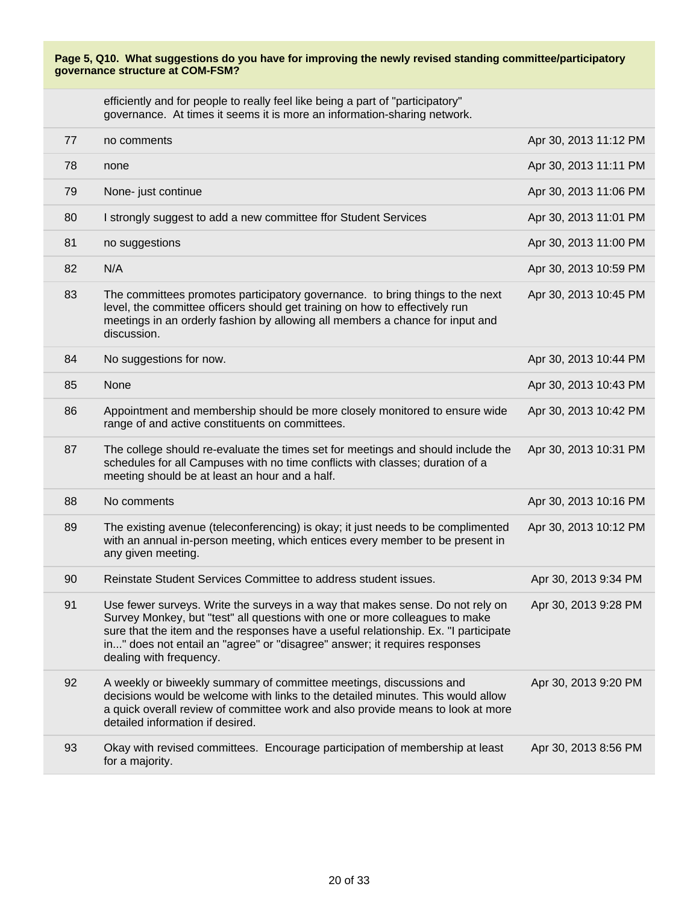efficiently and for people to really feel like being a part of "participatory" governance. At times it seems it is more an information-sharing network.

| 77 | no comments                                                                                                                                                                                                                                                                                                                                                   | Apr 30, 2013 11:12 PM |
|----|---------------------------------------------------------------------------------------------------------------------------------------------------------------------------------------------------------------------------------------------------------------------------------------------------------------------------------------------------------------|-----------------------|
| 78 | none                                                                                                                                                                                                                                                                                                                                                          | Apr 30, 2013 11:11 PM |
| 79 | None- just continue                                                                                                                                                                                                                                                                                                                                           | Apr 30, 2013 11:06 PM |
| 80 | I strongly suggest to add a new committee ffor Student Services                                                                                                                                                                                                                                                                                               | Apr 30, 2013 11:01 PM |
| 81 | no suggestions                                                                                                                                                                                                                                                                                                                                                | Apr 30, 2013 11:00 PM |
| 82 | N/A                                                                                                                                                                                                                                                                                                                                                           | Apr 30, 2013 10:59 PM |
| 83 | The committees promotes participatory governance. to bring things to the next<br>level, the committee officers should get training on how to effectively run<br>meetings in an orderly fashion by allowing all members a chance for input and<br>discussion.                                                                                                  | Apr 30, 2013 10:45 PM |
| 84 | No suggestions for now.                                                                                                                                                                                                                                                                                                                                       | Apr 30, 2013 10:44 PM |
| 85 | None                                                                                                                                                                                                                                                                                                                                                          | Apr 30, 2013 10:43 PM |
| 86 | Appointment and membership should be more closely monitored to ensure wide<br>range of and active constituents on committees.                                                                                                                                                                                                                                 | Apr 30, 2013 10:42 PM |
| 87 | The college should re-evaluate the times set for meetings and should include the<br>schedules for all Campuses with no time conflicts with classes; duration of a<br>meeting should be at least an hour and a half.                                                                                                                                           | Apr 30, 2013 10:31 PM |
| 88 | No comments                                                                                                                                                                                                                                                                                                                                                   | Apr 30, 2013 10:16 PM |
| 89 | The existing avenue (teleconferencing) is okay; it just needs to be complimented<br>with an annual in-person meeting, which entices every member to be present in<br>any given meeting.                                                                                                                                                                       | Apr 30, 2013 10:12 PM |
| 90 | Reinstate Student Services Committee to address student issues.                                                                                                                                                                                                                                                                                               | Apr 30, 2013 9:34 PM  |
| 91 | Use fewer surveys. Write the surveys in a way that makes sense. Do not rely on<br>Survey Monkey, but "test" all questions with one or more colleagues to make<br>sure that the item and the responses have a useful relationship. Ex. "I participate<br>in" does not entail an "agree" or "disagree" answer; it requires responses<br>dealing with frequency. | Apr 30, 2013 9:28 PM  |
| 92 | A weekly or biweekly summary of committee meetings, discussions and<br>decisions would be welcome with links to the detailed minutes. This would allow<br>a quick overall review of committee work and also provide means to look at more<br>detailed information if desired.                                                                                 | Apr 30, 2013 9:20 PM  |
| 93 | Okay with revised committees. Encourage participation of membership at least<br>for a majority.                                                                                                                                                                                                                                                               | Apr 30, 2013 8:56 PM  |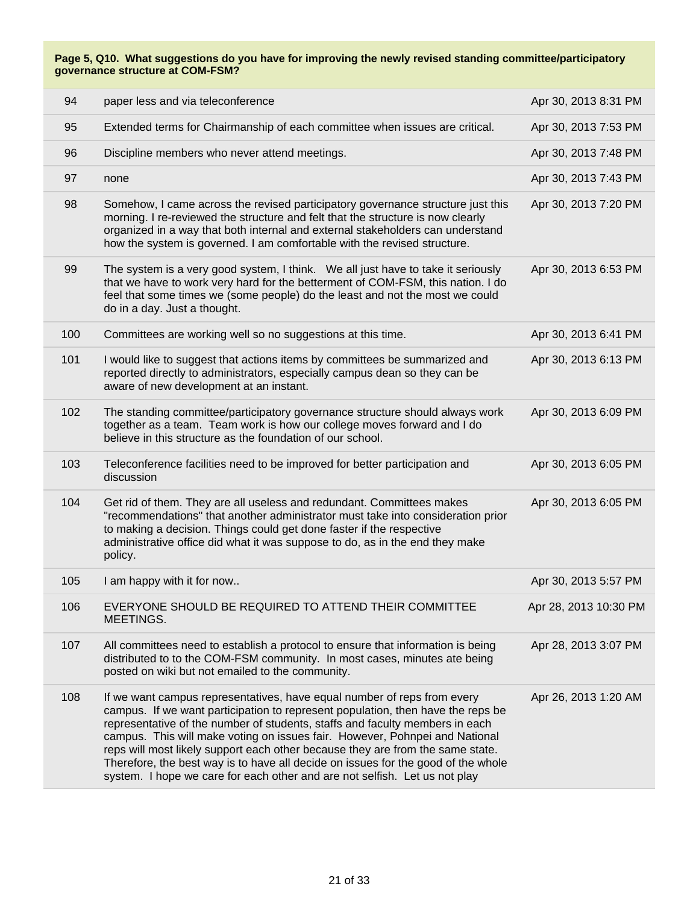| 94  | paper less and via teleconference                                                                                                                                                                                                                                                                                                                                                                                                                                                                                                                                              | Apr 30, 2013 8:31 PM  |
|-----|--------------------------------------------------------------------------------------------------------------------------------------------------------------------------------------------------------------------------------------------------------------------------------------------------------------------------------------------------------------------------------------------------------------------------------------------------------------------------------------------------------------------------------------------------------------------------------|-----------------------|
| 95  | Extended terms for Chairmanship of each committee when issues are critical.                                                                                                                                                                                                                                                                                                                                                                                                                                                                                                    | Apr 30, 2013 7:53 PM  |
| 96  | Discipline members who never attend meetings.                                                                                                                                                                                                                                                                                                                                                                                                                                                                                                                                  | Apr 30, 2013 7:48 PM  |
| 97  | none                                                                                                                                                                                                                                                                                                                                                                                                                                                                                                                                                                           | Apr 30, 2013 7:43 PM  |
| 98  | Somehow, I came across the revised participatory governance structure just this<br>morning. I re-reviewed the structure and felt that the structure is now clearly<br>organized in a way that both internal and external stakeholders can understand<br>how the system is governed. I am comfortable with the revised structure.                                                                                                                                                                                                                                               | Apr 30, 2013 7:20 PM  |
| 99  | The system is a very good system, I think. We all just have to take it seriously<br>that we have to work very hard for the betterment of COM-FSM, this nation. I do<br>feel that some times we (some people) do the least and not the most we could<br>do in a day. Just a thought.                                                                                                                                                                                                                                                                                            | Apr 30, 2013 6:53 PM  |
| 100 | Committees are working well so no suggestions at this time.                                                                                                                                                                                                                                                                                                                                                                                                                                                                                                                    | Apr 30, 2013 6:41 PM  |
| 101 | I would like to suggest that actions items by committees be summarized and<br>reported directly to administrators, especially campus dean so they can be<br>aware of new development at an instant.                                                                                                                                                                                                                                                                                                                                                                            | Apr 30, 2013 6:13 PM  |
| 102 | The standing committee/participatory governance structure should always work<br>together as a team. Team work is how our college moves forward and I do<br>believe in this structure as the foundation of our school.                                                                                                                                                                                                                                                                                                                                                          | Apr 30, 2013 6:09 PM  |
| 103 | Teleconference facilities need to be improved for better participation and<br>discussion                                                                                                                                                                                                                                                                                                                                                                                                                                                                                       | Apr 30, 2013 6:05 PM  |
| 104 | Get rid of them. They are all useless and redundant. Committees makes<br>"recommendations" that another administrator must take into consideration prior<br>to making a decision. Things could get done faster if the respective<br>administrative office did what it was suppose to do, as in the end they make<br>policy.                                                                                                                                                                                                                                                    | Apr 30, 2013 6:05 PM  |
| 105 | I am happy with it for now                                                                                                                                                                                                                                                                                                                                                                                                                                                                                                                                                     | Apr 30, 2013 5:57 PM  |
| 106 | EVERYONE SHOULD BE REQUIRED TO ATTEND THEIR COMMITTEE<br>MEETINGS.                                                                                                                                                                                                                                                                                                                                                                                                                                                                                                             | Apr 28, 2013 10:30 PM |
| 107 | All committees need to establish a protocol to ensure that information is being<br>distributed to to the COM-FSM community. In most cases, minutes ate being<br>posted on wiki but not emailed to the community.                                                                                                                                                                                                                                                                                                                                                               | Apr 28, 2013 3:07 PM  |
| 108 | If we want campus representatives, have equal number of reps from every<br>campus. If we want participation to represent population, then have the reps be<br>representative of the number of students, staffs and faculty members in each<br>campus. This will make voting on issues fair. However, Pohnpei and National<br>reps will most likely support each other because they are from the same state.<br>Therefore, the best way is to have all decide on issues for the good of the whole<br>system. I hope we care for each other and are not selfish. Let us not play | Apr 26, 2013 1:20 AM  |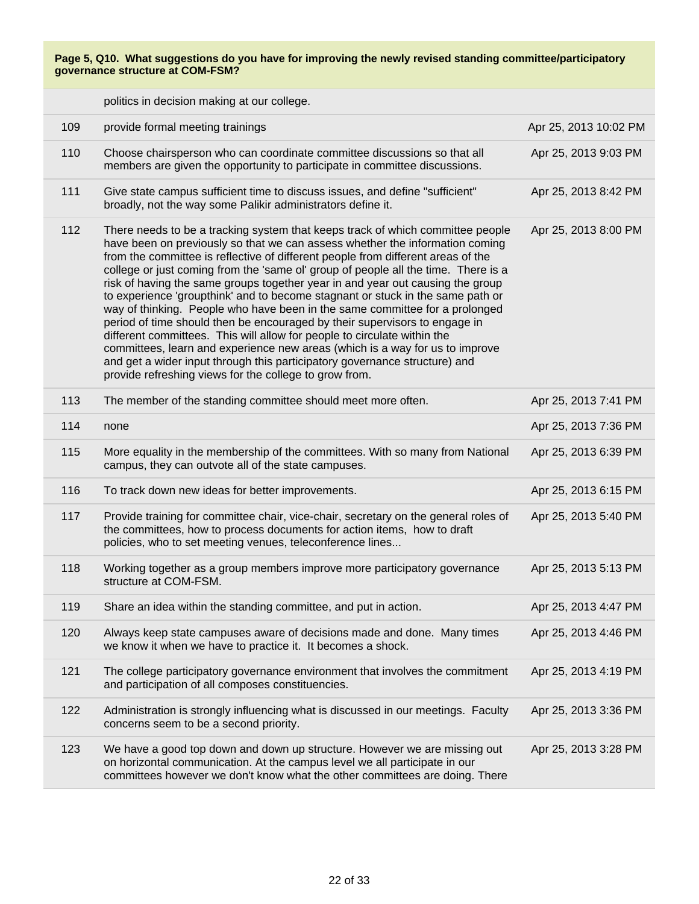|     | politics in decision making at our college.                                                                                                                                                                                                                                                                                                                                                                                                                                                                                                                                                                                                                                                                                                                                                                                                                                                                                                                                   |                       |
|-----|-------------------------------------------------------------------------------------------------------------------------------------------------------------------------------------------------------------------------------------------------------------------------------------------------------------------------------------------------------------------------------------------------------------------------------------------------------------------------------------------------------------------------------------------------------------------------------------------------------------------------------------------------------------------------------------------------------------------------------------------------------------------------------------------------------------------------------------------------------------------------------------------------------------------------------------------------------------------------------|-----------------------|
| 109 | provide formal meeting trainings                                                                                                                                                                                                                                                                                                                                                                                                                                                                                                                                                                                                                                                                                                                                                                                                                                                                                                                                              | Apr 25, 2013 10:02 PM |
| 110 | Choose chairsperson who can coordinate committee discussions so that all<br>members are given the opportunity to participate in committee discussions.                                                                                                                                                                                                                                                                                                                                                                                                                                                                                                                                                                                                                                                                                                                                                                                                                        | Apr 25, 2013 9:03 PM  |
| 111 | Give state campus sufficient time to discuss issues, and define "sufficient"<br>broadly, not the way some Palikir administrators define it.                                                                                                                                                                                                                                                                                                                                                                                                                                                                                                                                                                                                                                                                                                                                                                                                                                   | Apr 25, 2013 8:42 PM  |
| 112 | There needs to be a tracking system that keeps track of which committee people<br>have been on previously so that we can assess whether the information coming<br>from the committee is reflective of different people from different areas of the<br>college or just coming from the 'same ol' group of people all the time. There is a<br>risk of having the same groups together year in and year out causing the group<br>to experience 'groupthink' and to become stagnant or stuck in the same path or<br>way of thinking. People who have been in the same committee for a prolonged<br>period of time should then be encouraged by their supervisors to engage in<br>different committees. This will allow for people to circulate within the<br>committees, learn and experience new areas (which is a way for us to improve<br>and get a wider input through this participatory governance structure) and<br>provide refreshing views for the college to grow from. | Apr 25, 2013 8:00 PM  |
| 113 | The member of the standing committee should meet more often.                                                                                                                                                                                                                                                                                                                                                                                                                                                                                                                                                                                                                                                                                                                                                                                                                                                                                                                  | Apr 25, 2013 7:41 PM  |
| 114 | none                                                                                                                                                                                                                                                                                                                                                                                                                                                                                                                                                                                                                                                                                                                                                                                                                                                                                                                                                                          | Apr 25, 2013 7:36 PM  |
| 115 | More equality in the membership of the committees. With so many from National<br>campus, they can outvote all of the state campuses.                                                                                                                                                                                                                                                                                                                                                                                                                                                                                                                                                                                                                                                                                                                                                                                                                                          | Apr 25, 2013 6:39 PM  |
| 116 | To track down new ideas for better improvements.                                                                                                                                                                                                                                                                                                                                                                                                                                                                                                                                                                                                                                                                                                                                                                                                                                                                                                                              | Apr 25, 2013 6:15 PM  |
| 117 | Provide training for committee chair, vice-chair, secretary on the general roles of<br>the committees, how to process documents for action items, how to draft<br>policies, who to set meeting venues, teleconference lines                                                                                                                                                                                                                                                                                                                                                                                                                                                                                                                                                                                                                                                                                                                                                   | Apr 25, 2013 5:40 PM  |
| 118 | Working together as a group members improve more participatory governance<br>structure at COM-FSM.                                                                                                                                                                                                                                                                                                                                                                                                                                                                                                                                                                                                                                                                                                                                                                                                                                                                            | Apr 25, 2013 5:13 PM  |
| 119 | Share an idea within the standing committee, and put in action.                                                                                                                                                                                                                                                                                                                                                                                                                                                                                                                                                                                                                                                                                                                                                                                                                                                                                                               | Apr 25, 2013 4:47 PM  |
| 120 | Always keep state campuses aware of decisions made and done. Many times<br>we know it when we have to practice it. It becomes a shock.                                                                                                                                                                                                                                                                                                                                                                                                                                                                                                                                                                                                                                                                                                                                                                                                                                        | Apr 25, 2013 4:46 PM  |
| 121 | The college participatory governance environment that involves the commitment<br>and participation of all composes constituencies.                                                                                                                                                                                                                                                                                                                                                                                                                                                                                                                                                                                                                                                                                                                                                                                                                                            | Apr 25, 2013 4:19 PM  |
| 122 | Administration is strongly influencing what is discussed in our meetings. Faculty<br>concerns seem to be a second priority.                                                                                                                                                                                                                                                                                                                                                                                                                                                                                                                                                                                                                                                                                                                                                                                                                                                   | Apr 25, 2013 3:36 PM  |
| 123 | We have a good top down and down up structure. However we are missing out<br>on horizontal communication. At the campus level we all participate in our<br>committees however we don't know what the other committees are doing. There                                                                                                                                                                                                                                                                                                                                                                                                                                                                                                                                                                                                                                                                                                                                        | Apr 25, 2013 3:28 PM  |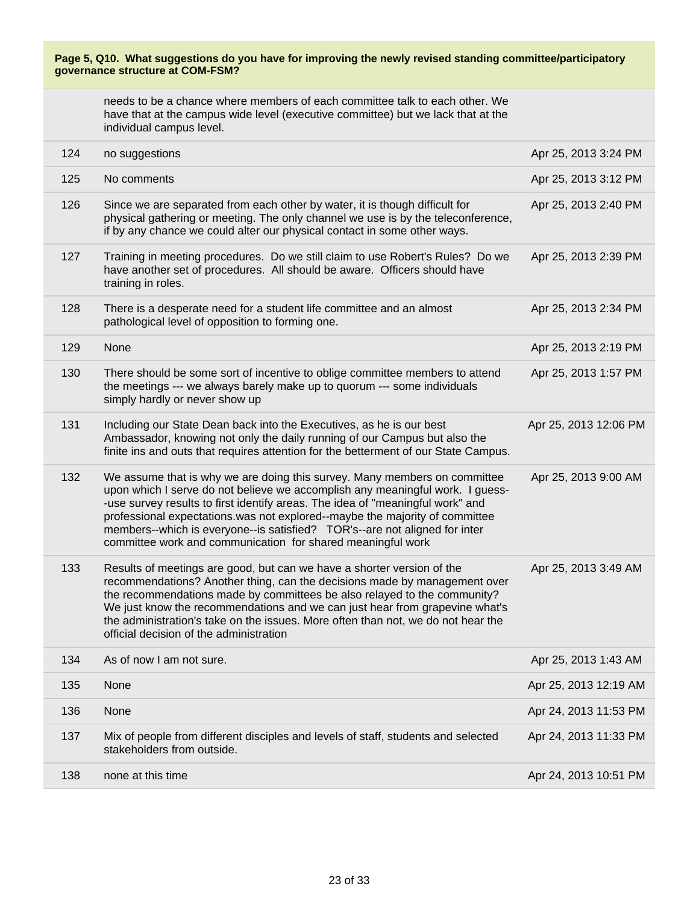needs to be a chance where members of each committee talk to each other. We have that at the campus wide level (executive committee) but we lack that at the individual campus level.

| 124 | no suggestions                                                                                                                                                                                                                                                                                                                                                                                                                                                           | Apr 25, 2013 3:24 PM  |
|-----|--------------------------------------------------------------------------------------------------------------------------------------------------------------------------------------------------------------------------------------------------------------------------------------------------------------------------------------------------------------------------------------------------------------------------------------------------------------------------|-----------------------|
| 125 | No comments                                                                                                                                                                                                                                                                                                                                                                                                                                                              | Apr 25, 2013 3:12 PM  |
| 126 | Since we are separated from each other by water, it is though difficult for<br>physical gathering or meeting. The only channel we use is by the teleconference,<br>if by any chance we could alter our physical contact in some other ways.                                                                                                                                                                                                                              | Apr 25, 2013 2:40 PM  |
| 127 | Training in meeting procedures. Do we still claim to use Robert's Rules? Do we<br>have another set of procedures. All should be aware. Officers should have<br>training in roles.                                                                                                                                                                                                                                                                                        | Apr 25, 2013 2:39 PM  |
| 128 | There is a desperate need for a student life committee and an almost<br>pathological level of opposition to forming one.                                                                                                                                                                                                                                                                                                                                                 | Apr 25, 2013 2:34 PM  |
| 129 | None                                                                                                                                                                                                                                                                                                                                                                                                                                                                     | Apr 25, 2013 2:19 PM  |
| 130 | There should be some sort of incentive to oblige committee members to attend<br>the meetings --- we always barely make up to quorum --- some individuals<br>simply hardly or never show up                                                                                                                                                                                                                                                                               | Apr 25, 2013 1:57 PM  |
| 131 | Including our State Dean back into the Executives, as he is our best<br>Ambassador, knowing not only the daily running of our Campus but also the<br>finite ins and outs that requires attention for the betterment of our State Campus.                                                                                                                                                                                                                                 | Apr 25, 2013 12:06 PM |
| 132 | We assume that is why we are doing this survey. Many members on committee<br>upon which I serve do not believe we accomplish any meaningful work. I guess-<br>-use survey results to first identify areas. The idea of "meaningful work" and<br>professional expectations.was not explored--maybe the majority of committee<br>members--which is everyone--is satisfied? TOR's--are not aligned for inter<br>committee work and communication for shared meaningful work | Apr 25, 2013 9:00 AM  |
| 133 | Results of meetings are good, but can we have a shorter version of the<br>recommendations? Another thing, can the decisions made by management over<br>the recommendations made by committees be also relayed to the community?<br>We just know the recommendations and we can just hear from grapevine what's<br>the administration's take on the issues. More often than not, we do not hear the<br>official decision of the administration                            | Apr 25, 2013 3:49 AM  |
| 134 | As of now I am not sure.                                                                                                                                                                                                                                                                                                                                                                                                                                                 | Apr 25, 2013 1:43 AM  |
| 135 | None                                                                                                                                                                                                                                                                                                                                                                                                                                                                     | Apr 25, 2013 12:19 AM |
| 136 | None                                                                                                                                                                                                                                                                                                                                                                                                                                                                     | Apr 24, 2013 11:53 PM |
| 137 | Mix of people from different disciples and levels of staff, students and selected<br>stakeholders from outside.                                                                                                                                                                                                                                                                                                                                                          | Apr 24, 2013 11:33 PM |
| 138 | none at this time                                                                                                                                                                                                                                                                                                                                                                                                                                                        | Apr 24, 2013 10:51 PM |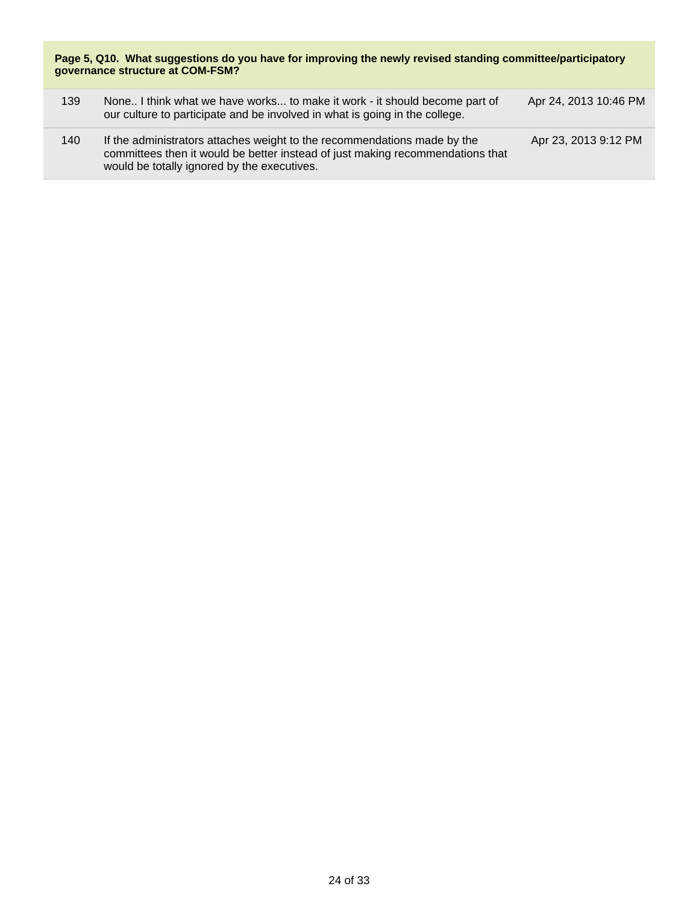| 139 | None I think what we have works to make it work - it should become part of<br>our culture to participate and be involved in what is going in the college.                                                 | Apr 24, 2013 10:46 PM |
|-----|-----------------------------------------------------------------------------------------------------------------------------------------------------------------------------------------------------------|-----------------------|
| 140 | If the administrators attaches weight to the recommendations made by the<br>committees then it would be better instead of just making recommendations that<br>would be totally ignored by the executives. | Apr 23, 2013 9:12 PM  |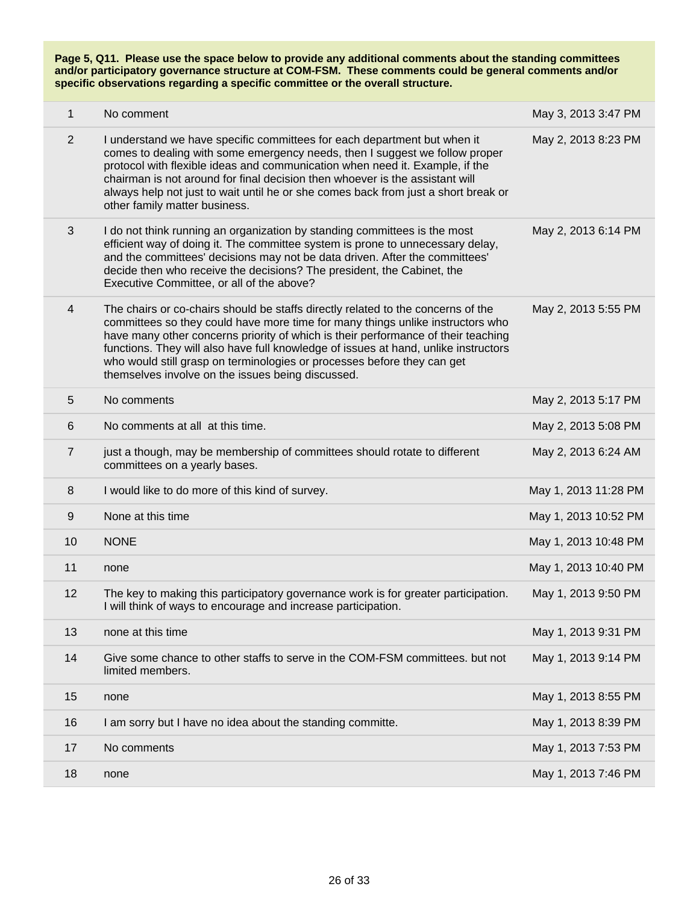| $\mathbf{1}$   | No comment                                                                                                                                                                                                                                                                                                                                                                                                                                                                     | May 3, 2013 3:47 PM  |
|----------------|--------------------------------------------------------------------------------------------------------------------------------------------------------------------------------------------------------------------------------------------------------------------------------------------------------------------------------------------------------------------------------------------------------------------------------------------------------------------------------|----------------------|
| 2              | I understand we have specific committees for each department but when it<br>comes to dealing with some emergency needs, then I suggest we follow proper<br>protocol with flexible ideas and communication when need it. Example, if the<br>chairman is not around for final decision then whoever is the assistant will<br>always help not just to wait until he or she comes back from just a short break or<br>other family matter business.                                 | May 2, 2013 8:23 PM  |
| 3              | I do not think running an organization by standing committees is the most<br>efficient way of doing it. The committee system is prone to unnecessary delay,<br>and the committees' decisions may not be data driven. After the committees'<br>decide then who receive the decisions? The president, the Cabinet, the<br>Executive Committee, or all of the above?                                                                                                              | May 2, 2013 6:14 PM  |
| $\overline{4}$ | The chairs or co-chairs should be staffs directly related to the concerns of the<br>committees so they could have more time for many things unlike instructors who<br>have many other concerns priority of which is their performance of their teaching<br>functions. They will also have full knowledge of issues at hand, unlike instructors<br>who would still grasp on terminologies or processes before they can get<br>themselves involve on the issues being discussed. | May 2, 2013 5:55 PM  |
| 5              | No comments                                                                                                                                                                                                                                                                                                                                                                                                                                                                    | May 2, 2013 5:17 PM  |
| 6              | No comments at all at this time.                                                                                                                                                                                                                                                                                                                                                                                                                                               | May 2, 2013 5:08 PM  |
| $\overline{7}$ | just a though, may be membership of committees should rotate to different<br>committees on a yearly bases.                                                                                                                                                                                                                                                                                                                                                                     | May 2, 2013 6:24 AM  |
| 8              | I would like to do more of this kind of survey.                                                                                                                                                                                                                                                                                                                                                                                                                                | May 1, 2013 11:28 PM |
| 9              | None at this time                                                                                                                                                                                                                                                                                                                                                                                                                                                              | May 1, 2013 10:52 PM |
| 10             | <b>NONE</b>                                                                                                                                                                                                                                                                                                                                                                                                                                                                    | May 1, 2013 10:48 PM |
| 11             | none                                                                                                                                                                                                                                                                                                                                                                                                                                                                           | May 1, 2013 10:40 PM |
| 12             | The key to making this participatory governance work is for greater participation.<br>I will think of ways to encourage and increase participation.                                                                                                                                                                                                                                                                                                                            | May 1, 2013 9:50 PM  |
| 13             | none at this time                                                                                                                                                                                                                                                                                                                                                                                                                                                              | May 1, 2013 9:31 PM  |
| 14             | Give some chance to other staffs to serve in the COM-FSM committees. but not<br>limited members.                                                                                                                                                                                                                                                                                                                                                                               | May 1, 2013 9:14 PM  |
| 15             | none                                                                                                                                                                                                                                                                                                                                                                                                                                                                           | May 1, 2013 8:55 PM  |
| 16             | I am sorry but I have no idea about the standing committe.                                                                                                                                                                                                                                                                                                                                                                                                                     | May 1, 2013 8:39 PM  |
| 17             | No comments                                                                                                                                                                                                                                                                                                                                                                                                                                                                    | May 1, 2013 7:53 PM  |
| 18             | none                                                                                                                                                                                                                                                                                                                                                                                                                                                                           | May 1, 2013 7:46 PM  |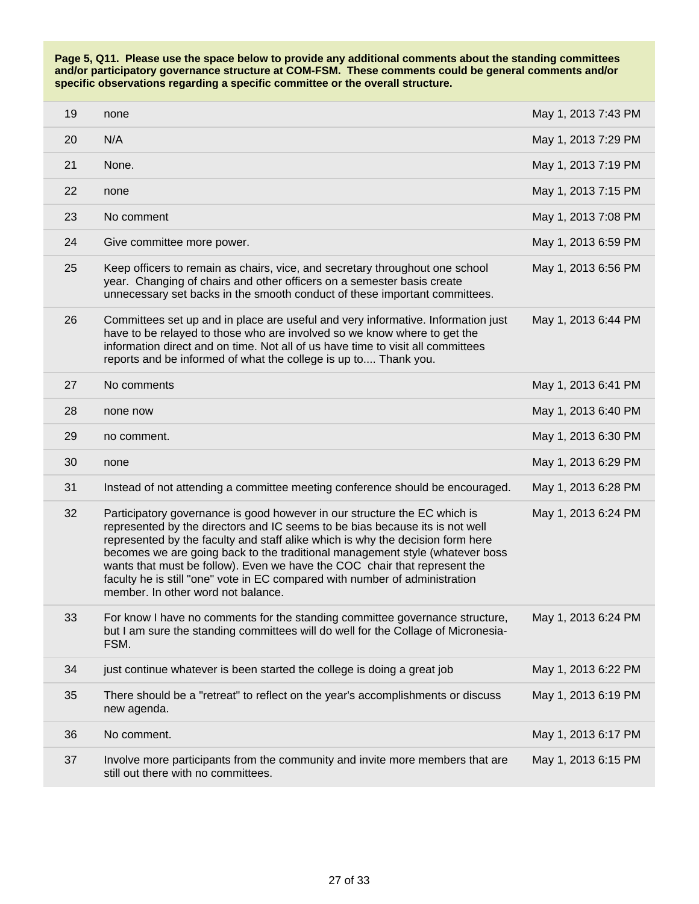| 19 | none                                                                                                                                                                                                                                                                                                                                                                                                                                                                                                                          | May 1, 2013 7:43 PM |
|----|-------------------------------------------------------------------------------------------------------------------------------------------------------------------------------------------------------------------------------------------------------------------------------------------------------------------------------------------------------------------------------------------------------------------------------------------------------------------------------------------------------------------------------|---------------------|
| 20 | N/A                                                                                                                                                                                                                                                                                                                                                                                                                                                                                                                           | May 1, 2013 7:29 PM |
| 21 | None.                                                                                                                                                                                                                                                                                                                                                                                                                                                                                                                         | May 1, 2013 7:19 PM |
| 22 | none                                                                                                                                                                                                                                                                                                                                                                                                                                                                                                                          | May 1, 2013 7:15 PM |
| 23 | No comment                                                                                                                                                                                                                                                                                                                                                                                                                                                                                                                    | May 1, 2013 7:08 PM |
| 24 | Give committee more power.                                                                                                                                                                                                                                                                                                                                                                                                                                                                                                    | May 1, 2013 6:59 PM |
| 25 | Keep officers to remain as chairs, vice, and secretary throughout one school<br>year. Changing of chairs and other officers on a semester basis create<br>unnecessary set backs in the smooth conduct of these important committees.                                                                                                                                                                                                                                                                                          | May 1, 2013 6:56 PM |
| 26 | Committees set up and in place are useful and very informative. Information just<br>have to be relayed to those who are involved so we know where to get the<br>information direct and on time. Not all of us have time to visit all committees<br>reports and be informed of what the college is up to Thank you.                                                                                                                                                                                                            | May 1, 2013 6:44 PM |
| 27 | No comments                                                                                                                                                                                                                                                                                                                                                                                                                                                                                                                   | May 1, 2013 6:41 PM |
| 28 | none now                                                                                                                                                                                                                                                                                                                                                                                                                                                                                                                      | May 1, 2013 6:40 PM |
| 29 | no comment.                                                                                                                                                                                                                                                                                                                                                                                                                                                                                                                   | May 1, 2013 6:30 PM |
| 30 | none                                                                                                                                                                                                                                                                                                                                                                                                                                                                                                                          | May 1, 2013 6:29 PM |
| 31 | Instead of not attending a committee meeting conference should be encouraged.                                                                                                                                                                                                                                                                                                                                                                                                                                                 | May 1, 2013 6:28 PM |
| 32 | Participatory governance is good however in our structure the EC which is<br>represented by the directors and IC seems to be bias because its is not well<br>represented by the faculty and staff alike which is why the decision form here<br>becomes we are going back to the traditional management style (whatever boss<br>wants that must be follow). Even we have the COC chair that represent the<br>faculty he is still "one" vote in EC compared with number of administration<br>member. In other word not balance. | May 1, 2013 6:24 PM |
| 33 | For know I have no comments for the standing committee governance structure,<br>but I am sure the standing committees will do well for the Collage of Micronesia-<br>FSM.                                                                                                                                                                                                                                                                                                                                                     | May 1, 2013 6:24 PM |
| 34 | just continue whatever is been started the college is doing a great job                                                                                                                                                                                                                                                                                                                                                                                                                                                       | May 1, 2013 6:22 PM |
| 35 | There should be a "retreat" to reflect on the year's accomplishments or discuss<br>new agenda.                                                                                                                                                                                                                                                                                                                                                                                                                                | May 1, 2013 6:19 PM |
| 36 | No comment.                                                                                                                                                                                                                                                                                                                                                                                                                                                                                                                   | May 1, 2013 6:17 PM |
| 37 | Involve more participants from the community and invite more members that are<br>still out there with no committees.                                                                                                                                                                                                                                                                                                                                                                                                          | May 1, 2013 6:15 PM |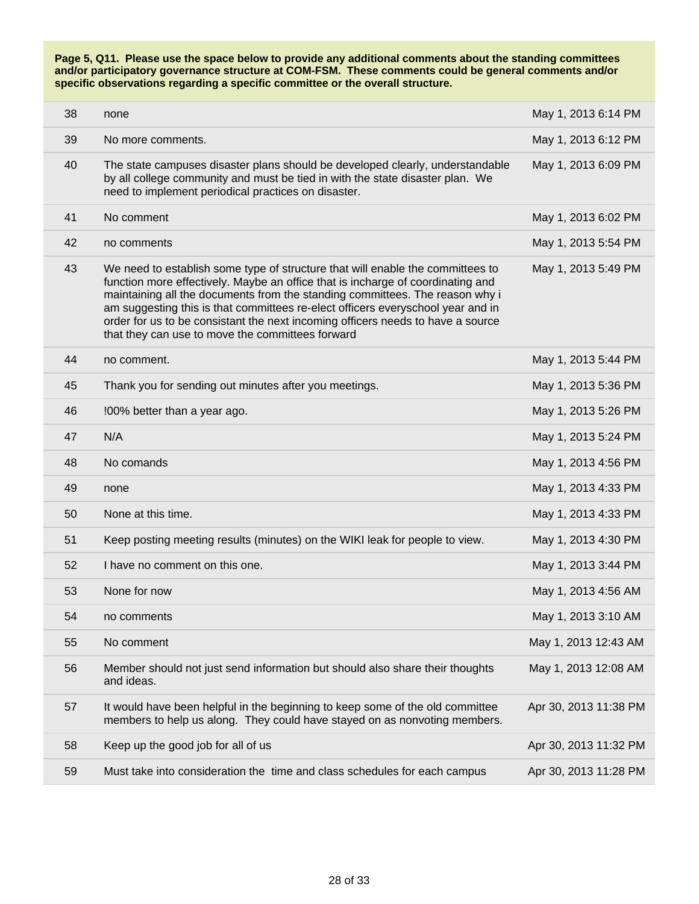| 38 | none                                                                                                                                                                                                                                                                                                                                                                                                                                                                        | May 1, 2013 6:14 PM   |
|----|-----------------------------------------------------------------------------------------------------------------------------------------------------------------------------------------------------------------------------------------------------------------------------------------------------------------------------------------------------------------------------------------------------------------------------------------------------------------------------|-----------------------|
| 39 | No more comments.                                                                                                                                                                                                                                                                                                                                                                                                                                                           | May 1, 2013 6:12 PM   |
| 40 | The state campuses disaster plans should be developed clearly, understandable<br>by all college community and must be tied in with the state disaster plan. We<br>need to implement periodical practices on disaster.                                                                                                                                                                                                                                                       | May 1, 2013 6:09 PM   |
| 41 | No comment                                                                                                                                                                                                                                                                                                                                                                                                                                                                  | May 1, 2013 6:02 PM   |
| 42 | no comments                                                                                                                                                                                                                                                                                                                                                                                                                                                                 | May 1, 2013 5:54 PM   |
| 43 | We need to establish some type of structure that will enable the committees to<br>function more effectively. Maybe an office that is incharge of coordinating and<br>maintaining all the documents from the standing committees. The reason why i<br>am suggesting this is that committees re-elect officers everyschool year and in<br>order for us to be consistant the next incoming officers needs to have a source<br>that they can use to move the committees forward | May 1, 2013 5:49 PM   |
| 44 | no comment.                                                                                                                                                                                                                                                                                                                                                                                                                                                                 | May 1, 2013 5:44 PM   |
| 45 | Thank you for sending out minutes after you meetings.                                                                                                                                                                                                                                                                                                                                                                                                                       | May 1, 2013 5:36 PM   |
| 46 | !00% better than a year ago.                                                                                                                                                                                                                                                                                                                                                                                                                                                | May 1, 2013 5:26 PM   |
| 47 | N/A                                                                                                                                                                                                                                                                                                                                                                                                                                                                         | May 1, 2013 5:24 PM   |
| 48 | No comands                                                                                                                                                                                                                                                                                                                                                                                                                                                                  | May 1, 2013 4:56 PM   |
| 49 | none                                                                                                                                                                                                                                                                                                                                                                                                                                                                        | May 1, 2013 4:33 PM   |
| 50 | None at this time.                                                                                                                                                                                                                                                                                                                                                                                                                                                          | May 1, 2013 4:33 PM   |
| 51 | Keep posting meeting results (minutes) on the WIKI leak for people to view.                                                                                                                                                                                                                                                                                                                                                                                                 | May 1, 2013 4:30 PM   |
| 52 | I have no comment on this one.                                                                                                                                                                                                                                                                                                                                                                                                                                              | May 1, 2013 3:44 PM   |
| 53 | None for now                                                                                                                                                                                                                                                                                                                                                                                                                                                                | May 1, 2013 4:56 AM   |
| 54 | no comments                                                                                                                                                                                                                                                                                                                                                                                                                                                                 | May 1, 2013 3:10 AM   |
| 55 | No comment                                                                                                                                                                                                                                                                                                                                                                                                                                                                  | May 1, 2013 12:43 AM  |
| 56 | Member should not just send information but should also share their thoughts<br>and ideas.                                                                                                                                                                                                                                                                                                                                                                                  | May 1, 2013 12:08 AM  |
| 57 | It would have been helpful in the beginning to keep some of the old committee<br>members to help us along. They could have stayed on as nonvoting members.                                                                                                                                                                                                                                                                                                                  | Apr 30, 2013 11:38 PM |
| 58 | Keep up the good job for all of us                                                                                                                                                                                                                                                                                                                                                                                                                                          | Apr 30, 2013 11:32 PM |
| 59 | Must take into consideration the time and class schedules for each campus                                                                                                                                                                                                                                                                                                                                                                                                   | Apr 30, 2013 11:28 PM |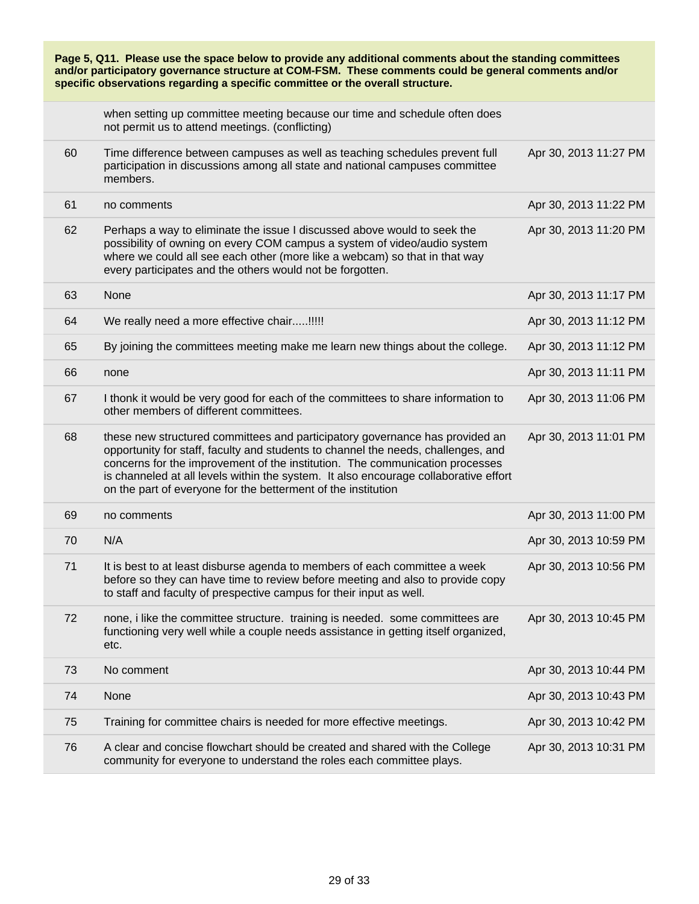| Page 5, Q11. Please use the space below to provide any additional comments about the standing committees<br>and/or participatory governance structure at COM-FSM. These comments could be general comments and/or<br>specific observations regarding a specific committee or the overall structure. |                                                                                                                                                                                                                                                                                                                                                                                                            |                       |
|-----------------------------------------------------------------------------------------------------------------------------------------------------------------------------------------------------------------------------------------------------------------------------------------------------|------------------------------------------------------------------------------------------------------------------------------------------------------------------------------------------------------------------------------------------------------------------------------------------------------------------------------------------------------------------------------------------------------------|-----------------------|
|                                                                                                                                                                                                                                                                                                     | when setting up committee meeting because our time and schedule often does<br>not permit us to attend meetings. (conflicting)                                                                                                                                                                                                                                                                              |                       |
| 60                                                                                                                                                                                                                                                                                                  | Time difference between campuses as well as teaching schedules prevent full<br>participation in discussions among all state and national campuses committee<br>members.                                                                                                                                                                                                                                    | Apr 30, 2013 11:27 PM |
| 61                                                                                                                                                                                                                                                                                                  | no comments                                                                                                                                                                                                                                                                                                                                                                                                | Apr 30, 2013 11:22 PM |
| 62                                                                                                                                                                                                                                                                                                  | Perhaps a way to eliminate the issue I discussed above would to seek the<br>possibility of owning on every COM campus a system of video/audio system<br>where we could all see each other (more like a webcam) so that in that way<br>every participates and the others would not be forgotten.                                                                                                            | Apr 30, 2013 11:20 PM |
| 63                                                                                                                                                                                                                                                                                                  | None                                                                                                                                                                                                                                                                                                                                                                                                       | Apr 30, 2013 11:17 PM |
| 64                                                                                                                                                                                                                                                                                                  | We really need a more effective chair!!!!!                                                                                                                                                                                                                                                                                                                                                                 | Apr 30, 2013 11:12 PM |
| 65                                                                                                                                                                                                                                                                                                  | By joining the committees meeting make me learn new things about the college.                                                                                                                                                                                                                                                                                                                              | Apr 30, 2013 11:12 PM |
| 66                                                                                                                                                                                                                                                                                                  | none                                                                                                                                                                                                                                                                                                                                                                                                       | Apr 30, 2013 11:11 PM |
| 67                                                                                                                                                                                                                                                                                                  | I thonk it would be very good for each of the committees to share information to<br>other members of different committees.                                                                                                                                                                                                                                                                                 | Apr 30, 2013 11:06 PM |
| 68                                                                                                                                                                                                                                                                                                  | these new structured committees and participatory governance has provided an<br>opportunity for staff, faculty and students to channel the needs, challenges, and<br>concerns for the improvement of the institution. The communication processes<br>is channeled at all levels within the system. It also encourage collaborative effort<br>on the part of everyone for the betterment of the institution | Apr 30, 2013 11:01 PM |
| 69                                                                                                                                                                                                                                                                                                  | no comments                                                                                                                                                                                                                                                                                                                                                                                                | Apr 30, 2013 11:00 PM |
| 70                                                                                                                                                                                                                                                                                                  | N/A                                                                                                                                                                                                                                                                                                                                                                                                        | Apr 30, 2013 10:59 PM |
| 71                                                                                                                                                                                                                                                                                                  | It is best to at least disburse agenda to members of each committee a week<br>before so they can have time to review before meeting and also to provide copy<br>to staff and faculty of prespective campus for their input as well.                                                                                                                                                                        | Apr 30, 2013 10:56 PM |
| 72                                                                                                                                                                                                                                                                                                  | none, i like the committee structure. training is needed. some committees are<br>functioning very well while a couple needs assistance in getting itself organized,<br>etc.                                                                                                                                                                                                                                | Apr 30, 2013 10:45 PM |
| 73                                                                                                                                                                                                                                                                                                  | No comment                                                                                                                                                                                                                                                                                                                                                                                                 | Apr 30, 2013 10:44 PM |
| 74                                                                                                                                                                                                                                                                                                  | None                                                                                                                                                                                                                                                                                                                                                                                                       | Apr 30, 2013 10:43 PM |
| 75                                                                                                                                                                                                                                                                                                  | Training for committee chairs is needed for more effective meetings.                                                                                                                                                                                                                                                                                                                                       | Apr 30, 2013 10:42 PM |
| 76                                                                                                                                                                                                                                                                                                  | A clear and concise flowchart should be created and shared with the College<br>community for everyone to understand the roles each committee plays.                                                                                                                                                                                                                                                        | Apr 30, 2013 10:31 PM |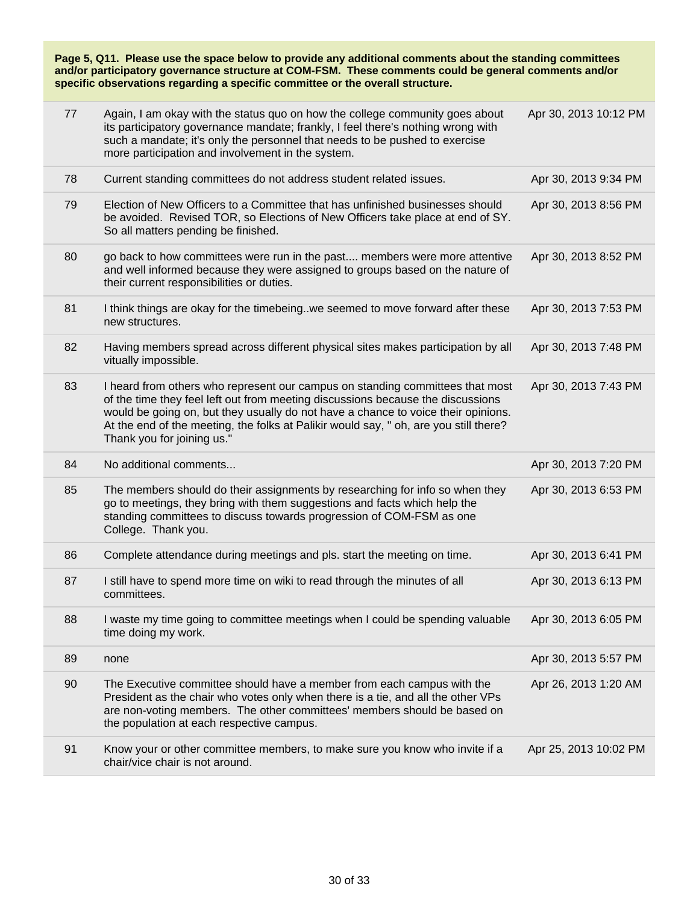| 77 | Again, I am okay with the status quo on how the college community goes about<br>its participatory governance mandate; frankly, I feel there's nothing wrong with<br>such a mandate; it's only the personnel that needs to be pushed to exercise<br>more participation and involvement in the system.                                                                         | Apr 30, 2013 10:12 PM |
|----|------------------------------------------------------------------------------------------------------------------------------------------------------------------------------------------------------------------------------------------------------------------------------------------------------------------------------------------------------------------------------|-----------------------|
| 78 | Current standing committees do not address student related issues.                                                                                                                                                                                                                                                                                                           | Apr 30, 2013 9:34 PM  |
| 79 | Election of New Officers to a Committee that has unfinished businesses should<br>be avoided. Revised TOR, so Elections of New Officers take place at end of SY.<br>So all matters pending be finished.                                                                                                                                                                       | Apr 30, 2013 8:56 PM  |
| 80 | go back to how committees were run in the past members were more attentive<br>and well informed because they were assigned to groups based on the nature of<br>their current responsibilities or duties.                                                                                                                                                                     | Apr 30, 2013 8:52 PM  |
| 81 | I think things are okay for the timebeing. we seemed to move forward after these<br>new structures.                                                                                                                                                                                                                                                                          | Apr 30, 2013 7:53 PM  |
| 82 | Having members spread across different physical sites makes participation by all<br>vitually impossible.                                                                                                                                                                                                                                                                     | Apr 30, 2013 7:48 PM  |
| 83 | I heard from others who represent our campus on standing committees that most<br>of the time they feel left out from meeting discussions because the discussions<br>would be going on, but they usually do not have a chance to voice their opinions.<br>At the end of the meeting, the folks at Palikir would say, " oh, are you still there?<br>Thank you for joining us." | Apr 30, 2013 7:43 PM  |
| 84 | No additional comments                                                                                                                                                                                                                                                                                                                                                       | Apr 30, 2013 7:20 PM  |
| 85 | The members should do their assignments by researching for info so when they<br>go to meetings, they bring with them suggestions and facts which help the<br>standing committees to discuss towards progression of COM-FSM as one<br>College. Thank you.                                                                                                                     | Apr 30, 2013 6:53 PM  |
| 86 | Complete attendance during meetings and pls. start the meeting on time.                                                                                                                                                                                                                                                                                                      | Apr 30, 2013 6:41 PM  |
| 87 | I still have to spend more time on wiki to read through the minutes of all<br>committees.                                                                                                                                                                                                                                                                                    | Apr 30, 2013 6:13 PM  |
| 88 | I waste my time going to committee meetings when I could be spending valuable<br>time doing my work.                                                                                                                                                                                                                                                                         | Apr 30, 2013 6:05 PM  |
| 89 | none                                                                                                                                                                                                                                                                                                                                                                         | Apr 30, 2013 5:57 PM  |
| 90 | The Executive committee should have a member from each campus with the<br>President as the chair who votes only when there is a tie, and all the other VPs<br>are non-voting members. The other committees' members should be based on<br>the population at each respective campus.                                                                                          | Apr 26, 2013 1:20 AM  |
| 91 | Know your or other committee members, to make sure you know who invite if a<br>chair/vice chair is not around.                                                                                                                                                                                                                                                               | Apr 25, 2013 10:02 PM |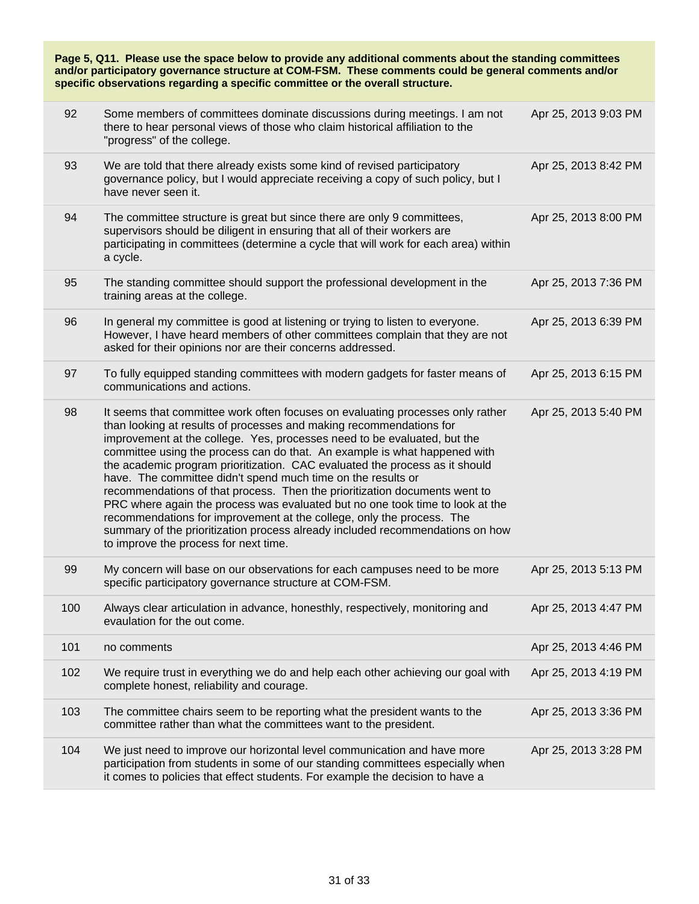| Page 5, Q11. Please use the space below to provide any additional comments about the standing committees<br>and/or participatory governance structure at COM-FSM. These comments could be general comments and/or<br>specific observations regarding a specific committee or the overall structure. |                                                                                                                                                                                                                                                                                                                                                                                                                                                                                                                                                                                                                                                                                                                                                                                                                                 |                      |  |
|-----------------------------------------------------------------------------------------------------------------------------------------------------------------------------------------------------------------------------------------------------------------------------------------------------|---------------------------------------------------------------------------------------------------------------------------------------------------------------------------------------------------------------------------------------------------------------------------------------------------------------------------------------------------------------------------------------------------------------------------------------------------------------------------------------------------------------------------------------------------------------------------------------------------------------------------------------------------------------------------------------------------------------------------------------------------------------------------------------------------------------------------------|----------------------|--|
| 92                                                                                                                                                                                                                                                                                                  | Some members of committees dominate discussions during meetings. I am not<br>there to hear personal views of those who claim historical affiliation to the<br>"progress" of the college.                                                                                                                                                                                                                                                                                                                                                                                                                                                                                                                                                                                                                                        | Apr 25, 2013 9:03 PM |  |
| 93                                                                                                                                                                                                                                                                                                  | We are told that there already exists some kind of revised participatory<br>governance policy, but I would appreciate receiving a copy of such policy, but I<br>have never seen it.                                                                                                                                                                                                                                                                                                                                                                                                                                                                                                                                                                                                                                             | Apr 25, 2013 8:42 PM |  |
| 94                                                                                                                                                                                                                                                                                                  | The committee structure is great but since there are only 9 committees,<br>supervisors should be diligent in ensuring that all of their workers are<br>participating in committees (determine a cycle that will work for each area) within<br>a cycle.                                                                                                                                                                                                                                                                                                                                                                                                                                                                                                                                                                          | Apr 25, 2013 8:00 PM |  |
| 95                                                                                                                                                                                                                                                                                                  | The standing committee should support the professional development in the<br>training areas at the college.                                                                                                                                                                                                                                                                                                                                                                                                                                                                                                                                                                                                                                                                                                                     | Apr 25, 2013 7:36 PM |  |
| 96                                                                                                                                                                                                                                                                                                  | In general my committee is good at listening or trying to listen to everyone.<br>However, I have heard members of other committees complain that they are not<br>asked for their opinions nor are their concerns addressed.                                                                                                                                                                                                                                                                                                                                                                                                                                                                                                                                                                                                     | Apr 25, 2013 6:39 PM |  |
| 97                                                                                                                                                                                                                                                                                                  | To fully equipped standing committees with modern gadgets for faster means of<br>communications and actions.                                                                                                                                                                                                                                                                                                                                                                                                                                                                                                                                                                                                                                                                                                                    | Apr 25, 2013 6:15 PM |  |
| 98                                                                                                                                                                                                                                                                                                  | It seems that committee work often focuses on evaluating processes only rather<br>than looking at results of processes and making recommendations for<br>improvement at the college. Yes, processes need to be evaluated, but the<br>committee using the process can do that. An example is what happened with<br>the academic program prioritization. CAC evaluated the process as it should<br>have. The committee didn't spend much time on the results or<br>recommendations of that process. Then the prioritization documents went to<br>PRC where again the process was evaluated but no one took time to look at the<br>recommendations for improvement at the college, only the process. The<br>summary of the prioritization process already included recommendations on how<br>to improve the process for next time. | Apr 25, 2013 5:40 PM |  |
| 99                                                                                                                                                                                                                                                                                                  | My concern will base on our observations for each campuses need to be more<br>specific participatory governance structure at COM-FSM.                                                                                                                                                                                                                                                                                                                                                                                                                                                                                                                                                                                                                                                                                           | Apr 25, 2013 5:13 PM |  |
| 100                                                                                                                                                                                                                                                                                                 | Always clear articulation in advance, honesthly, respectively, monitoring and<br>evaulation for the out come.                                                                                                                                                                                                                                                                                                                                                                                                                                                                                                                                                                                                                                                                                                                   | Apr 25, 2013 4:47 PM |  |
| 101                                                                                                                                                                                                                                                                                                 | no comments                                                                                                                                                                                                                                                                                                                                                                                                                                                                                                                                                                                                                                                                                                                                                                                                                     | Apr 25, 2013 4:46 PM |  |
| 102                                                                                                                                                                                                                                                                                                 | We require trust in everything we do and help each other achieving our goal with<br>complete honest, reliability and courage.                                                                                                                                                                                                                                                                                                                                                                                                                                                                                                                                                                                                                                                                                                   | Apr 25, 2013 4:19 PM |  |
| 103                                                                                                                                                                                                                                                                                                 | The committee chairs seem to be reporting what the president wants to the<br>committee rather than what the committees want to the president.                                                                                                                                                                                                                                                                                                                                                                                                                                                                                                                                                                                                                                                                                   | Apr 25, 2013 3:36 PM |  |
| 104                                                                                                                                                                                                                                                                                                 | We just need to improve our horizontal level communication and have more<br>participation from students in some of our standing committees especially when<br>it comes to policies that effect students. For example the decision to have a                                                                                                                                                                                                                                                                                                                                                                                                                                                                                                                                                                                     | Apr 25, 2013 3:28 PM |  |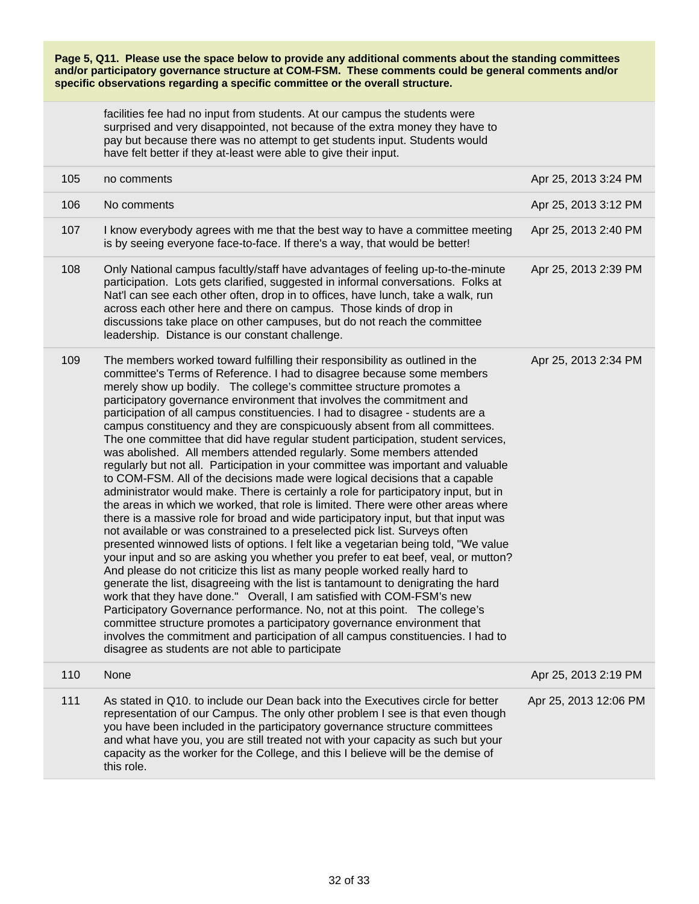facilities fee had no input from students. At our campus the students were surprised and very disappointed, not because of the extra money they have to pay but because there was no attempt to get students input. Students would have felt better if they at-least were able to give their input.

| 105 | no comments                                                                                                                                                                                                                                                                                                                                                                                                                                                                                                                                                                                                                                                                                                                                                                                                                                                                                                                                                                                                                                                                                                                                                                                                                                                                                                                                                                                                                                                                                                                                                                                                                                                                                                                                                                                                                                                                      | Apr 25, 2013 3:24 PM  |
|-----|----------------------------------------------------------------------------------------------------------------------------------------------------------------------------------------------------------------------------------------------------------------------------------------------------------------------------------------------------------------------------------------------------------------------------------------------------------------------------------------------------------------------------------------------------------------------------------------------------------------------------------------------------------------------------------------------------------------------------------------------------------------------------------------------------------------------------------------------------------------------------------------------------------------------------------------------------------------------------------------------------------------------------------------------------------------------------------------------------------------------------------------------------------------------------------------------------------------------------------------------------------------------------------------------------------------------------------------------------------------------------------------------------------------------------------------------------------------------------------------------------------------------------------------------------------------------------------------------------------------------------------------------------------------------------------------------------------------------------------------------------------------------------------------------------------------------------------------------------------------------------------|-----------------------|
| 106 | No comments                                                                                                                                                                                                                                                                                                                                                                                                                                                                                                                                                                                                                                                                                                                                                                                                                                                                                                                                                                                                                                                                                                                                                                                                                                                                                                                                                                                                                                                                                                                                                                                                                                                                                                                                                                                                                                                                      | Apr 25, 2013 3:12 PM  |
| 107 | I know everybody agrees with me that the best way to have a committee meeting<br>is by seeing everyone face-to-face. If there's a way, that would be better!                                                                                                                                                                                                                                                                                                                                                                                                                                                                                                                                                                                                                                                                                                                                                                                                                                                                                                                                                                                                                                                                                                                                                                                                                                                                                                                                                                                                                                                                                                                                                                                                                                                                                                                     | Apr 25, 2013 2:40 PM  |
| 108 | Only National campus facultly/staff have advantages of feeling up-to-the-minute<br>participation. Lots gets clarified, suggested in informal conversations. Folks at<br>Nat'l can see each other often, drop in to offices, have lunch, take a walk, run<br>across each other here and there on campus. Those kinds of drop in<br>discussions take place on other campuses, but do not reach the committee<br>leadership. Distance is our constant challenge.                                                                                                                                                                                                                                                                                                                                                                                                                                                                                                                                                                                                                                                                                                                                                                                                                                                                                                                                                                                                                                                                                                                                                                                                                                                                                                                                                                                                                    | Apr 25, 2013 2:39 PM  |
| 109 | The members worked toward fulfilling their responsibility as outlined in the<br>committee's Terms of Reference. I had to disagree because some members<br>merely show up bodily. The college's committee structure promotes a<br>participatory governance environment that involves the commitment and<br>participation of all campus constituencies. I had to disagree - students are a<br>campus constituency and they are conspicuously absent from all committees.<br>The one committee that did have regular student participation, student services,<br>was abolished. All members attended regularly. Some members attended<br>regularly but not all. Participation in your committee was important and valuable<br>to COM-FSM. All of the decisions made were logical decisions that a capable<br>administrator would make. There is certainly a role for participatory input, but in<br>the areas in which we worked, that role is limited. There were other areas where<br>there is a massive role for broad and wide participatory input, but that input was<br>not available or was constrained to a preselected pick list. Surveys often<br>presented winnowed lists of options. I felt like a vegetarian being told, "We value<br>your input and so are asking you whether you prefer to eat beef, veal, or mutton?<br>And please do not criticize this list as many people worked really hard to<br>generate the list, disagreeing with the list is tantamount to denigrating the hard<br>work that they have done." Overall, I am satisfied with COM-FSM's new<br>Participatory Governance performance. No, not at this point. The college's<br>committee structure promotes a participatory governance environment that<br>involves the commitment and participation of all campus constituencies. I had to<br>disagree as students are not able to participate | Apr 25, 2013 2:34 PM  |
| 110 | None                                                                                                                                                                                                                                                                                                                                                                                                                                                                                                                                                                                                                                                                                                                                                                                                                                                                                                                                                                                                                                                                                                                                                                                                                                                                                                                                                                                                                                                                                                                                                                                                                                                                                                                                                                                                                                                                             | Apr 25, 2013 2:19 PM  |
| 111 | As stated in Q10. to include our Dean back into the Executives circle for better<br>representation of our Campus. The only other problem I see is that even though<br>you have been included in the participatory governance structure committees                                                                                                                                                                                                                                                                                                                                                                                                                                                                                                                                                                                                                                                                                                                                                                                                                                                                                                                                                                                                                                                                                                                                                                                                                                                                                                                                                                                                                                                                                                                                                                                                                                | Apr 25, 2013 12:06 PM |

capacity as the worker for the College, and this I believe will be the demise of this role.

and what have you, you are still treated not with your capacity as such but your